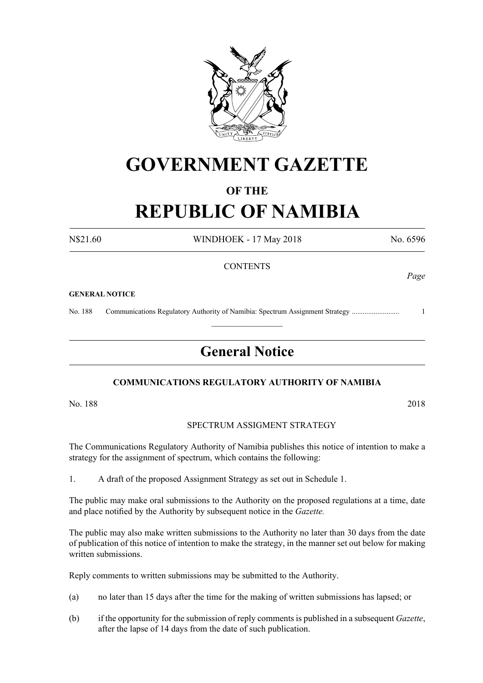

## **GOVERNMENT GAZETTE**

### **OF THE**

# **REPUBLIC OF NAMIBIA**

N\$21.60 WINDHOEK - 17 May 2018 No. 6596

*Page*

#### **CONTENTS**

#### **GENERAL NOTICE**

No. 188 Communications Regulatory Authority of Namibia: Spectrum Assignment Strategy .......................... 1

### **General Notice**

 $\frac{1}{2}$ 

#### **COMMUNICATIONS REGULATORY AUTHORITY OF NAMIBIA**

No. 188 2018

#### SPECTRUM ASSIGMENT STRATEGY

The Communications Regulatory Authority of Namibia publishes this notice of intention to make a strategy for the assignment of spectrum, which contains the following:

1. A draft of the proposed Assignment Strategy as set out in Schedule 1.

The public may make oral submissions to the Authority on the proposed regulations at a time, date and place notified by the Authority by subsequent notice in the *Gazette.*

The public may also make written submissions to the Authority no later than 30 days from the date of publication of this notice of intention to make the strategy, in the manner set out below for making written submissions.

Reply comments to written submissions may be submitted to the Authority.

- (a) no later than 15 days after the time for the making of written submissions has lapsed; or
- (b) if the opportunity for the submission of reply comments is published in a subsequent *Gazette*, after the lapse of 14 days from the date of such publication.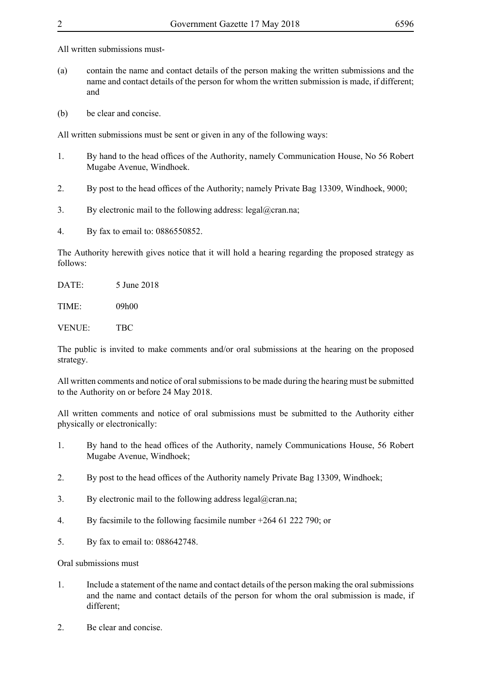All written submissions must-

- (a) contain the name and contact details of the person making the written submissions and the name and contact details of the person for whom the written submission is made, if different; and
- (b) be clear and concise.

All written submissions must be sent or given in any of the following ways:

- 1. By hand to the head offices of the Authority, namely Communication House, No 56 Robert Mugabe Avenue, Windhoek.
- 2. By post to the head offices of the Authority; namely Private Bag 13309, Windhoek, 9000;
- 3. By electronic mail to the following address:  $\text{legal@cran.na}$ ;
- 4. By fax to email to: 0886550852.

The Authority herewith gives notice that it will hold a hearing regarding the proposed strategy as follows:

DATE: 5 June 2018 TIME: 09h00 VENUE: TBC

The public is invited to make comments and/or oral submissions at the hearing on the proposed strategy.

All written comments and notice of oral submissions to be made during the hearing must be submitted to the Authority on or before 24 May 2018.

All written comments and notice of oral submissions must be submitted to the Authority either physically or electronically:

- 1. By hand to the head offices of the Authority, namely Communications House, 56 Robert Mugabe Avenue, Windhoek;
- 2. By post to the head offices of the Authority namely Private Bag 13309, Windhoek;
- 3. By electronic mail to the following address legal@cran.na;
- 4. By facsimile to the following facsimile number +264 61 222 790; or
- 5. By fax to email to: 088642748.

Oral submissions must

- 1. Include a statement of the name and contact details of the person making the oral submissions and the name and contact details of the person for whom the oral submission is made, if different;
- 2. Be clear and concise.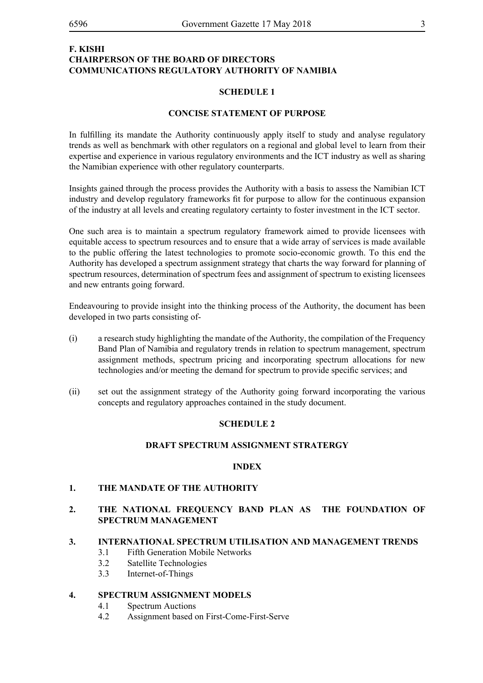#### **F. KISHI CHAIRPERSON OF THE BOARD OF DIRECTORS COMMUNICATIONS REGULATORY AUTHORITY OF NAMIBIA**

#### **SCHEDULE 1**

#### **CONCISE STATEMENT OF PURPOSE**

In fulfilling its mandate the Authority continuously apply itself to study and analyse regulatory trends as well as benchmark with other regulators on a regional and global level to learn from their expertise and experience in various regulatory environments and the ICT industry as well as sharing the Namibian experience with other regulatory counterparts.

Insights gained through the process provides the Authority with a basis to assess the Namibian ICT industry and develop regulatory frameworks fit for purpose to allow for the continuous expansion of the industry at all levels and creating regulatory certainty to foster investment in the ICT sector.

One such area is to maintain a spectrum regulatory framework aimed to provide licensees with equitable access to spectrum resources and to ensure that a wide array of services is made available to the public offering the latest technologies to promote socio-economic growth. To this end the Authority has developed a spectrum assignment strategy that charts the way forward for planning of spectrum resources, determination of spectrum fees and assignment of spectrum to existing licensees and new entrants going forward.

Endeavouring to provide insight into the thinking process of the Authority, the document has been developed in two parts consisting of-

- (i) a research study highlighting the mandate of the Authority, the compilation of the Frequency Band Plan of Namibia and regulatory trends in relation to spectrum management, spectrum assignment methods, spectrum pricing and incorporating spectrum allocations for new technologies and/or meeting the demand for spectrum to provide specific services; and
- (ii) set out the assignment strategy of the Authority going forward incorporating the various concepts and regulatory approaches contained in the study document.

#### **SCHEDULE 2**

#### **DRAFT SPECTRUM ASSIGNMENT STRATERGY**

#### **INDEX**

#### **1. THE MANDATE OF THE AUTHORITY**

#### **2. THE NATIONAL FREQUENCY BAND PLAN AS THE FOUNDATION OF SPECTRUM MANAGEMENT**

#### **3. INTERNATIONAL SPECTRUM UTILISATION AND MANAGEMENT TRENDS**

- 3.1 Fifth Generation Mobile Networks
- 3.2 Satellite Technologies
- 3.3 Internet-of-Things

#### **4. SPECTRUM ASSIGNMENT MODELS**

- 4.1 Spectrum Auctions
- 4.2 Assignment based on First-Come-First-Serve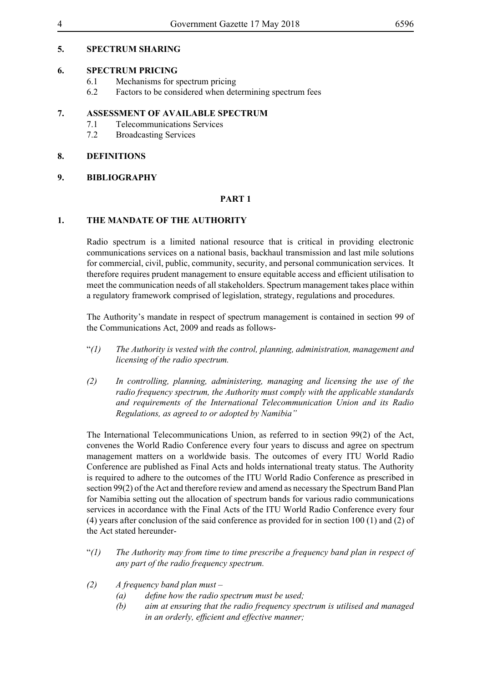#### **5. SPECTRUM SHARING**

#### **6. SPECTRUM PRICING**

- 6.1 Mechanisms for spectrum pricing
- 6.2 Factors to be considered when determining spectrum fees

#### **7. ASSESSMENT OF AVAILABLE SPECTRUM**

- 7.1 Telecommunications Services
- 7.2 Broadcasting Services

#### **8. DEFINITIONS**

#### **9. BIBLIOGRAPHY**

#### **PART 1**

#### **1. THE MANDATE OF THE AUTHORITY**

Radio spectrum is a limited national resource that is critical in providing electronic communications services on a national basis, backhaul transmission and last mile solutions for commercial, civil, public, community, security, and personal communication services. It therefore requires prudent management to ensure equitable access and efficient utilisation to meet the communication needs of all stakeholders. Spectrum management takes place within a regulatory framework comprised of legislation, strategy, regulations and procedures.

The Authority's mandate in respect of spectrum management is contained in section 99 of the Communications Act, 2009 and reads as follows-

- "*(1) The Authority is vested with the control, planning, administration, management and licensing of the radio spectrum.*
- *(2) In controlling, planning, administering, managing and licensing the use of the radio frequency spectrum, the Authority must comply with the applicable standards and requirements of the International Telecommunication Union and its Radio Regulations, as agreed to or adopted by Namibia"*

The International Telecommunications Union, as referred to in section 99(2) of the Act, convenes the World Radio Conference every four years to discuss and agree on spectrum management matters on a worldwide basis. The outcomes of every ITU World Radio Conference are published as Final Acts and holds international treaty status. The Authority is required to adhere to the outcomes of the ITU World Radio Conference as prescribed in section 99(2) of the Act and therefore review and amend as necessary the Spectrum Band Plan for Namibia setting out the allocation of spectrum bands for various radio communications services in accordance with the Final Acts of the ITU World Radio Conference every four (4) years after conclusion of the said conference as provided for in section 100 (1) and (2) of the Act stated hereunder-

- "*(1) The Authority may from time to time prescribe a frequency band plan in respect of any part of the radio frequency spectrum.*
- *(2) A frequency band plan must –*
	- *(a) define how the radio spectrum must be used;*
	- *(b) aim at ensuring that the radio frequency spectrum is utilised and managed in an orderly, efficient and effective manner;*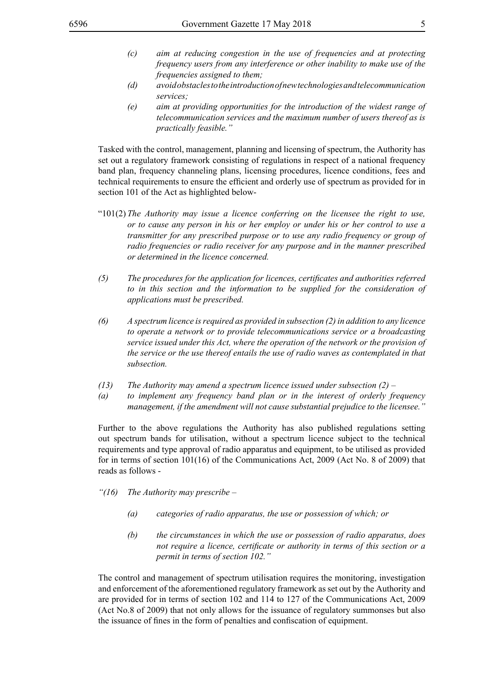- *(c) aim at reducing congestion in the use of frequencies and at protecting frequency users from any interference or other inability to make use of the frequencies assigned to them;*
- *(d) avoid obstacles to the introduction of new technologies and telecommunication services;*
- *(e) aim at providing opportunities for the introduction of the widest range of telecommunication services and the maximum number of users thereof as is practically feasible."*

Tasked with the control, management, planning and licensing of spectrum, the Authority has set out a regulatory framework consisting of regulations in respect of a national frequency band plan, frequency channeling plans, licensing procedures, licence conditions, fees and technical requirements to ensure the efficient and orderly use of spectrum as provided for in section 101 of the Act as highlighted below-

- "101(2) *The Authority may issue a licence conferring on the licensee the right to use, or to cause any person in his or her employ or under his or her control to use a transmitter for any prescribed purpose or to use any radio frequency or group of radio frequencies or radio receiver for any purpose and in the manner prescribed or determined in the licence concerned.*
- *(5) The procedures for the application for licences, certificates and authorities referred to in this section and the information to be supplied for the consideration of applications must be prescribed.*
- *(6) A spectrum licence is required as provided in subsection (2) in addition to any licence to operate a network or to provide telecommunications service or a broadcasting service issued under this Act, where the operation of the network or the provision of the service or the use thereof entails the use of radio waves as contemplated in that subsection.*
- *(13) The Authority may amend a spectrum licence issued under subsection (2) –*
- *(a) to implement any frequency band plan or in the interest of orderly frequency management, if the amendment will not cause substantial prejudice to the licensee."*

Further to the above regulations the Authority has also published regulations setting out spectrum bands for utilisation, without a spectrum licence subject to the technical requirements and type approval of radio apparatus and equipment, to be utilised as provided for in terms of section 101(16) of the Communications Act, 2009 (Act No. 8 of 2009) that reads as follows -

- *"(16) The Authority may prescribe –*
	- *(a) categories of radio apparatus, the use or possession of which; or*
	- *(b) the circumstances in which the use or possession of radio apparatus, does not require a licence, certificate or authority in terms of this section or a permit in terms of section 102."*

The control and management of spectrum utilisation requires the monitoring, investigation and enforcement of the aforementioned regulatory framework as set out by the Authority and are provided for in terms of section 102 and 114 to 127 of the Communications Act, 2009 (Act No.8 of 2009) that not only allows for the issuance of regulatory summonses but also the issuance of fines in the form of penalties and confiscation of equipment.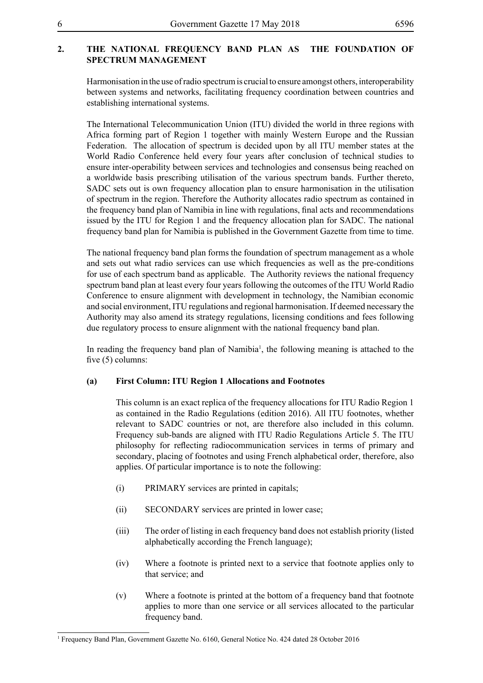#### **2. THE NATIONAL FREQUENCY BAND PLAN AS THE FOUNDATION OF SPECTRUM MANAGEMENT**

Harmonisation in the use of radio spectrum is crucial to ensure amongst others, interoperability between systems and networks, facilitating frequency coordination between countries and establishing international systems.

The International Telecommunication Union (ITU) divided the world in three regions with Africa forming part of Region 1 together with mainly Western Europe and the Russian Federation. The allocation of spectrum is decided upon by all ITU member states at the World Radio Conference held every four years after conclusion of technical studies to ensure inter-operability between services and technologies and consensus being reached on a worldwide basis prescribing utilisation of the various spectrum bands. Further thereto, SADC sets out is own frequency allocation plan to ensure harmonisation in the utilisation of spectrum in the region. Therefore the Authority allocates radio spectrum as contained in the frequency band plan of Namibia in line with regulations, final acts and recommendations issued by the ITU for Region 1 and the frequency allocation plan for SADC. The national frequency band plan for Namibia is published in the Government Gazette from time to time.

The national frequency band plan forms the foundation of spectrum management as a whole and sets out what radio services can use which frequencies as well as the pre-conditions for use of each spectrum band as applicable. The Authority reviews the national frequency spectrum band plan at least every four years following the outcomes of the ITU World Radio Conference to ensure alignment with development in technology, the Namibian economic and social environment, ITU regulations and regional harmonisation. If deemed necessary the Authority may also amend its strategy regulations, licensing conditions and fees following due regulatory process to ensure alignment with the national frequency band plan.

In reading the frequency band plan of Namibia<sup>1</sup>, the following meaning is attached to the five (5) columns:

#### **(a) First Column: ITU Region 1 Allocations and Footnotes**

This column is an exact replica of the frequency allocations for ITU Radio Region 1 as contained in the Radio Regulations (edition 2016). All ITU footnotes, whether relevant to SADC countries or not, are therefore also included in this column. Frequency sub-bands are aligned with ITU Radio Regulations Article 5. The ITU philosophy for reflecting radiocommunication services in terms of primary and secondary, placing of footnotes and using French alphabetical order, therefore, also applies. Of particular importance is to note the following:

- (i) PRIMARY services are printed in capitals;
- (ii) SECONDARY services are printed in lower case;
- (iii) The order of listing in each frequency band does not establish priority (listed alphabetically according the French language);
- (iv) Where a footnote is printed next to a service that footnote applies only to that service; and
- (v) Where a footnote is printed at the bottom of a frequency band that footnote applies to more than one service or all services allocated to the particular frequency band.

<sup>1</sup> Frequency Band Plan, Government Gazette No. 6160, General Notice No. 424 dated 28 October 2016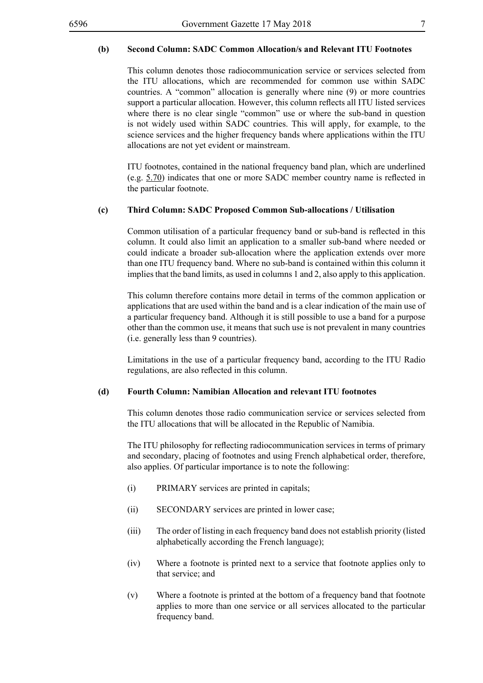#### **(b) Second Column: SADC Common Allocation/s and Relevant ITU Footnotes**

This column denotes those radiocommunication service or services selected from the ITU allocations, which are recommended for common use within SADC countries. A "common" allocation is generally where nine (9) or more countries support a particular allocation. However, this column reflects all ITU listed services where there is no clear single "common" use or where the sub-band in question is not widely used within SADC countries. This will apply, for example, to the science services and the higher frequency bands where applications within the ITU allocations are not yet evident or mainstream.

ITU footnotes, contained in the national frequency band plan, which are underlined (e.g. 5.70) indicates that one or more SADC member country name is reflected in the particular footnote.

#### **(c) Third Column: SADC Proposed Common Sub-allocations / Utilisation**

Common utilisation of a particular frequency band or sub-band is reflected in this column. It could also limit an application to a smaller sub-band where needed or could indicate a broader sub-allocation where the application extends over more than one ITU frequency band. Where no sub-band is contained within this column it implies that the band limits, as used in columns 1 and 2, also apply to this application.

This column therefore contains more detail in terms of the common application or applications that are used within the band and is a clear indication of the main use of a particular frequency band. Although it is still possible to use a band for a purpose other than the common use, it means that such use is not prevalent in many countries (i.e. generally less than 9 countries).

Limitations in the use of a particular frequency band, according to the ITU Radio regulations, are also reflected in this column.

#### **(d) Fourth Column: Namibian Allocation and relevant ITU footnotes**

This column denotes those radio communication service or services selected from the ITU allocations that will be allocated in the Republic of Namibia.

The ITU philosophy for reflecting radiocommunication services in terms of primary and secondary, placing of footnotes and using French alphabetical order, therefore, also applies. Of particular importance is to note the following:

- (i) PRIMARY services are printed in capitals;
- (ii) SECONDARY services are printed in lower case;
- (iii) The order of listing in each frequency band does not establish priority (listed alphabetically according the French language);
- (iv) Where a footnote is printed next to a service that footnote applies only to that service; and
- (v) Where a footnote is printed at the bottom of a frequency band that footnote applies to more than one service or all services allocated to the particular frequency band.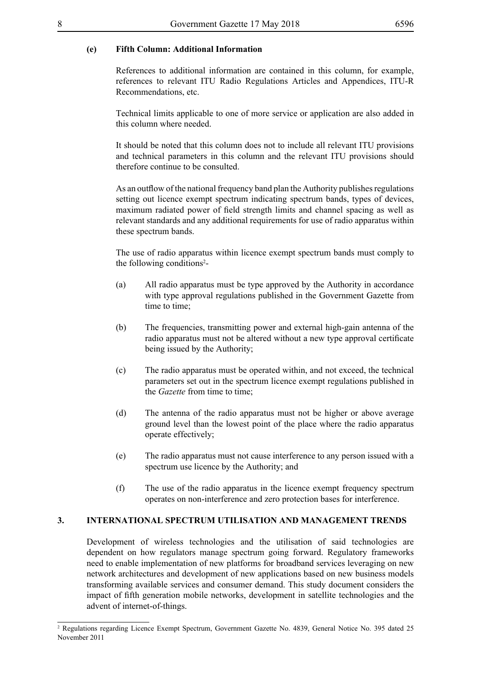#### **(e) Fifth Column: Additional Information**

References to additional information are contained in this column, for example, references to relevant ITU Radio Regulations Articles and Appendices, ITU-R Recommendations, etc.

Technical limits applicable to one of more service or application are also added in this column where needed.

It should be noted that this column does not to include all relevant ITU provisions and technical parameters in this column and the relevant ITU provisions should therefore continue to be consulted.

As an outflow of the national frequency band plan the Authority publishes regulations setting out licence exempt spectrum indicating spectrum bands, types of devices, maximum radiated power of field strength limits and channel spacing as well as relevant standards and any additional requirements for use of radio apparatus within these spectrum bands.

The use of radio apparatus within licence exempt spectrum bands must comply to the following conditions<sup>2</sup>-

- (a) All radio apparatus must be type approved by the Authority in accordance with type approval regulations published in the Government Gazette from time to time;
- (b) The frequencies, transmitting power and external high-gain antenna of the radio apparatus must not be altered without a new type approval certificate being issued by the Authority;
- (c) The radio apparatus must be operated within, and not exceed, the technical parameters set out in the spectrum licence exempt regulations published in the *Gazette* from time to time;
- (d) The antenna of the radio apparatus must not be higher or above average ground level than the lowest point of the place where the radio apparatus operate effectively;
- (e) The radio apparatus must not cause interference to any person issued with a spectrum use licence by the Authority; and
- (f) The use of the radio apparatus in the licence exempt frequency spectrum operates on non-interference and zero protection bases for interference.

#### **3. INTERNATIONAL SPECTRUM UTILISATION AND MANAGEMENT TRENDS**

Development of wireless technologies and the utilisation of said technologies are dependent on how regulators manage spectrum going forward. Regulatory frameworks need to enable implementation of new platforms for broadband services leveraging on new network architectures and development of new applications based on new business models transforming available services and consumer demand. This study document considers the impact of fifth generation mobile networks, development in satellite technologies and the advent of internet-of-things.

<sup>2</sup> Regulations regarding Licence Exempt Spectrum, Government Gazette No. 4839, General Notice No. 395 dated 25 November 2011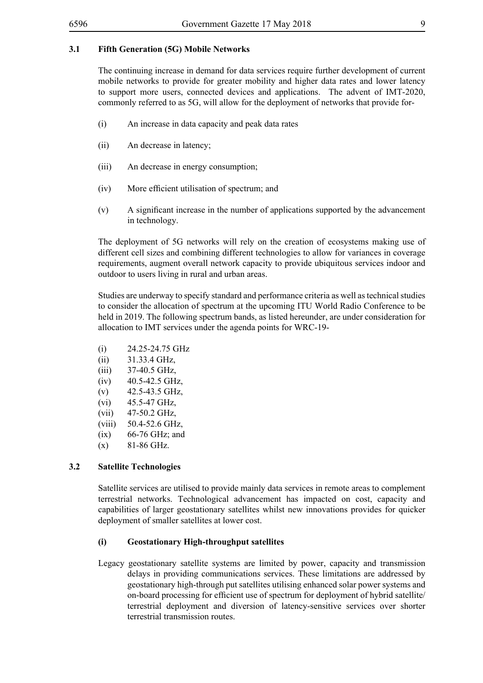#### **3.1 Fifth Generation (5G) Mobile Networks**

The continuing increase in demand for data services require further development of current mobile networks to provide for greater mobility and higher data rates and lower latency to support more users, connected devices and applications. The advent of IMT-2020, commonly referred to as 5G, will allow for the deployment of networks that provide for-

- (i) An increase in data capacity and peak data rates
- (ii) An decrease in latency;
- (iii) An decrease in energy consumption;
- (iv) More efficient utilisation of spectrum; and
- (v) A significant increase in the number of applications supported by the advancement in technology.

The deployment of 5G networks will rely on the creation of ecosystems making use of different cell sizes and combining different technologies to allow for variances in coverage requirements, augment overall network capacity to provide ubiquitous services indoor and outdoor to users living in rural and urban areas.

Studies are underway to specify standard and performance criteria as well as technical studies to consider the allocation of spectrum at the upcoming ITU World Radio Conference to be held in 2019. The following spectrum bands, as listed hereunder, are under consideration for allocation to IMT services under the agenda points for WRC-19-

- (i) 24.25-24.75 GHz
- (ii) 31.33.4 GHz,
- (iii) 37-40.5 GHz,
- $(iv)$  40.5-42.5 GHz,
- (v) 42.5-43.5 GHz,
- (vi) 45.5-47 GHz,
- (vii) 47-50.2 GHz,
- (viii) 50.4-52.6 GHz,
- $(ix)$  66-76 GHz; and
- $(x)$  81-86 GHz.

#### **3.2 Satellite Technologies**

Satellite services are utilised to provide mainly data services in remote areas to complement terrestrial networks. Technological advancement has impacted on cost, capacity and capabilities of larger geostationary satellites whilst new innovations provides for quicker deployment of smaller satellites at lower cost.

#### **(i) Geostationary High-throughput satellites**

Legacy geostationary satellite systems are limited by power, capacity and transmission delays in providing communications services. These limitations are addressed by geostationary high-through put satellites utilising enhanced solar power systems and on-board processing for efficient use of spectrum for deployment of hybrid satellite/ terrestrial deployment and diversion of latency-sensitive services over shorter terrestrial transmission routes.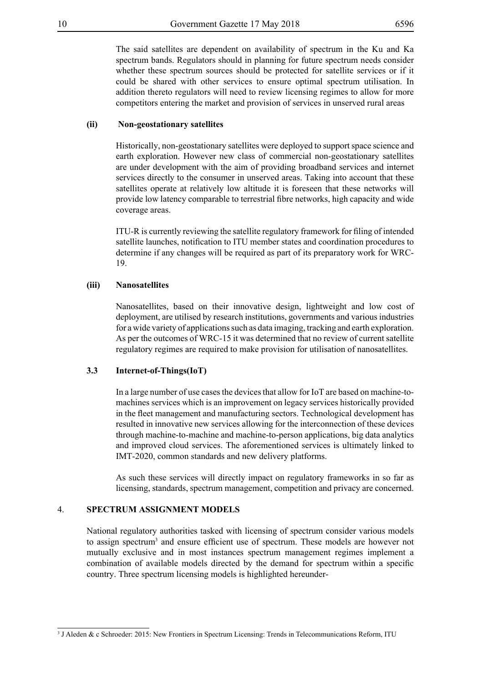The said satellites are dependent on availability of spectrum in the Ku and Ka spectrum bands. Regulators should in planning for future spectrum needs consider whether these spectrum sources should be protected for satellite services or if it could be shared with other services to ensure optimal spectrum utilisation. In addition thereto regulators will need to review licensing regimes to allow for more competitors entering the market and provision of services in unserved rural areas

#### **(ii) Non-geostationary satellites**

Historically, non-geostationary satellites were deployed to support space science and earth exploration. However new class of commercial non-geostationary satellites are under development with the aim of providing broadband services and internet services directly to the consumer in unserved areas. Taking into account that these satellites operate at relatively low altitude it is foreseen that these networks will provide low latency comparable to terrestrial fibre networks, high capacity and wide coverage areas.

ITU-R is currently reviewing the satellite regulatory framework for filing of intended satellite launches, notification to ITU member states and coordination procedures to determine if any changes will be required as part of its preparatory work for WRC-19.

#### **(iii) Nanosatellites**

Nanosatellites, based on their innovative design, lightweight and low cost of deployment, are utilised by research institutions, governments and various industries for a wide variety of applications such as data imaging, tracking and earth exploration. As per the outcomes of WRC-15 it was determined that no review of current satellite regulatory regimes are required to make provision for utilisation of nanosatellites.

#### **3.3 Internet-of-Things(IoT)**

In a large number of use cases the devices that allow for IoT are based on machine-tomachines services which is an improvement on legacy services historically provided in the fleet management and manufacturing sectors. Technological development has resulted in innovative new services allowing for the interconnection of these devices through machine-to-machine and machine-to-person applications, big data analytics and improved cloud services. The aforementioned services is ultimately linked to IMT-2020, common standards and new delivery platforms.

As such these services will directly impact on regulatory frameworks in so far as licensing, standards, spectrum management, competition and privacy are concerned.

#### 4. **SPECTRUM ASSIGNMENT MODELS**

National regulatory authorities tasked with licensing of spectrum consider various models to assign spectrum<sup>3</sup> and ensure efficient use of spectrum. These models are however not mutually exclusive and in most instances spectrum management regimes implement a combination of available models directed by the demand for spectrum within a specific country. Three spectrum licensing models is highlighted hereunder-

<sup>3</sup> J Aleden & c Schroeder: 2015: New Frontiers in Spectrum Licensing: Trends in Telecommunications Reform, ITU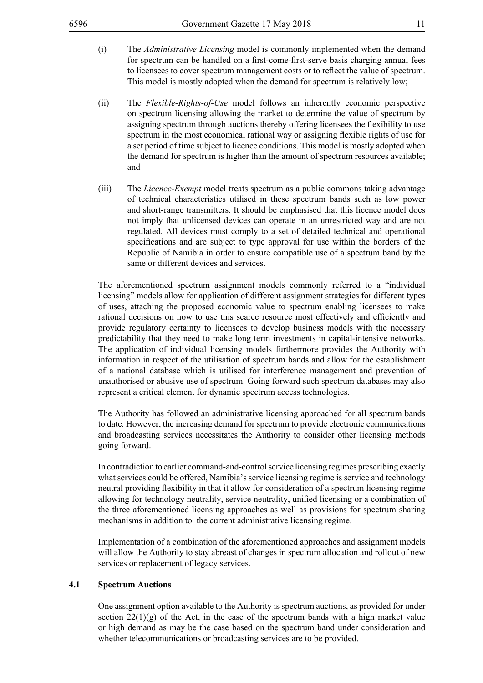- (i) The *Administrative Licensing* model is commonly implemented when the demand for spectrum can be handled on a first-come-first-serve basis charging annual fees to licensees to cover spectrum management costs or to reflect the value of spectrum. This model is mostly adopted when the demand for spectrum is relatively low;
- (ii) The *Flexible-Rights-of-Use* model follows an inherently economic perspective on spectrum licensing allowing the market to determine the value of spectrum by assigning spectrum through auctions thereby offering licensees the flexibility to use spectrum in the most economical rational way or assigning flexible rights of use for a set period of time subject to licence conditions. This model is mostly adopted when the demand for spectrum is higher than the amount of spectrum resources available; and
- (iii) The *Licence-Exempt* model treats spectrum as a public commons taking advantage of technical characteristics utilised in these spectrum bands such as low power and short-range transmitters. It should be emphasised that this licence model does not imply that unlicensed devices can operate in an unrestricted way and are not regulated. All devices must comply to a set of detailed technical and operational specifications and are subject to type approval for use within the borders of the Republic of Namibia in order to ensure compatible use of a spectrum band by the same or different devices and services.

The aforementioned spectrum assignment models commonly referred to a "individual licensing" models allow for application of different assignment strategies for different types of uses, attaching the proposed economic value to spectrum enabling licensees to make rational decisions on how to use this scarce resource most effectively and efficiently and provide regulatory certainty to licensees to develop business models with the necessary predictability that they need to make long term investments in capital-intensive networks. The application of individual licensing models furthermore provides the Authority with information in respect of the utilisation of spectrum bands and allow for the establishment of a national database which is utilised for interference management and prevention of unauthorised or abusive use of spectrum. Going forward such spectrum databases may also represent a critical element for dynamic spectrum access technologies.

The Authority has followed an administrative licensing approached for all spectrum bands to date. However, the increasing demand for spectrum to provide electronic communications and broadcasting services necessitates the Authority to consider other licensing methods going forward.

In contradiction to earlier command-and-control service licensing regimes prescribing exactly what services could be offered, Namibia's service licensing regime is service and technology neutral providing flexibility in that it allow for consideration of a spectrum licensing regime allowing for technology neutrality, service neutrality, unified licensing or a combination of the three aforementioned licensing approaches as well as provisions for spectrum sharing mechanisms in addition to the current administrative licensing regime.

Implementation of a combination of the aforementioned approaches and assignment models will allow the Authority to stay abreast of changes in spectrum allocation and rollout of new services or replacement of legacy services.

#### **4.1 Spectrum Auctions**

One assignment option available to the Authority is spectrum auctions, as provided for under section  $22(1)(g)$  of the Act, in the case of the spectrum bands with a high market value or high demand as may be the case based on the spectrum band under consideration and whether telecommunications or broadcasting services are to be provided.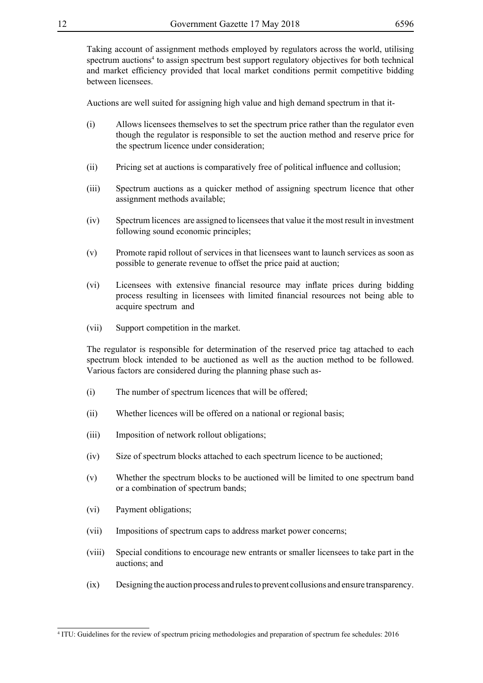Taking account of assignment methods employed by regulators across the world, utilising spectrum auctions<sup>4</sup> to assign spectrum best support regulatory objectives for both technical and market efficiency provided that local market conditions permit competitive bidding between licensees.

Auctions are well suited for assigning high value and high demand spectrum in that it-

- (i) Allows licensees themselves to set the spectrum price rather than the regulator even though the regulator is responsible to set the auction method and reserve price for the spectrum licence under consideration;
- (ii) Pricing set at auctions is comparatively free of political influence and collusion;
- (iii) Spectrum auctions as a quicker method of assigning spectrum licence that other assignment methods available;
- (iv) Spectrum licences are assigned to licensees that value it the most result in investment following sound economic principles;
- (v) Promote rapid rollout of services in that licensees want to launch services as soon as possible to generate revenue to offset the price paid at auction;
- (vi) Licensees with extensive financial resource may inflate prices during bidding process resulting in licensees with limited financial resources not being able to acquire spectrum and
- (vii) Support competition in the market.

The regulator is responsible for determination of the reserved price tag attached to each spectrum block intended to be auctioned as well as the auction method to be followed. Various factors are considered during the planning phase such as-

- (i) The number of spectrum licences that will be offered;
- (ii) Whether licences will be offered on a national or regional basis;
- (iii) Imposition of network rollout obligations;
- (iv) Size of spectrum blocks attached to each spectrum licence to be auctioned;
- (v) Whether the spectrum blocks to be auctioned will be limited to one spectrum band or a combination of spectrum bands;
- (vi) Payment obligations;
- (vii) Impositions of spectrum caps to address market power concerns;
- (viii) Special conditions to encourage new entrants or smaller licensees to take part in the auctions; and
- (ix) Designing the auction process and rules to prevent collusions and ensure transparency.

<sup>4</sup> ITU: Guidelines for the review of spectrum pricing methodologies and preparation of spectrum fee schedules: 2016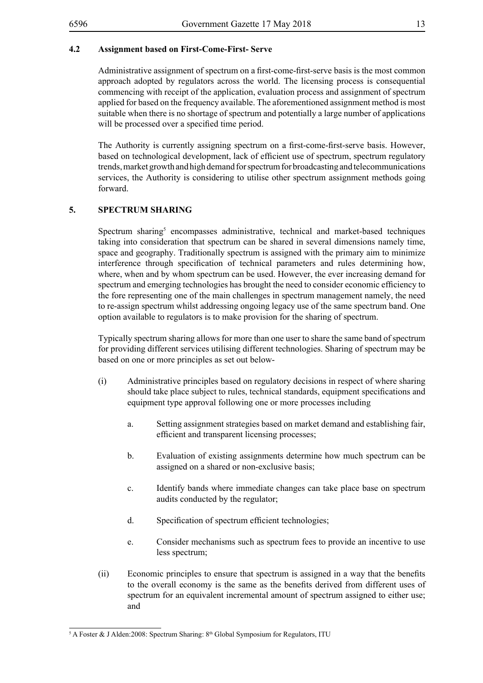Administrative assignment of spectrum on a first-come-first-serve basis is the most common approach adopted by regulators across the world. The licensing process is consequential commencing with receipt of the application, evaluation process and assignment of spectrum applied for based on the frequency available. The aforementioned assignment method is most suitable when there is no shortage of spectrum and potentially a large number of applications will be processed over a specified time period.

The Authority is currently assigning spectrum on a first-come-first-serve basis. However, based on technological development, lack of efficient use of spectrum, spectrum regulatory trends, market growth and high demand for spectrum for broadcasting and telecommunications services, the Authority is considering to utilise other spectrum assignment methods going forward.

#### **5. SPECTRUM SHARING**

Spectrum sharing<sup>5</sup> encompasses administrative, technical and market-based techniques taking into consideration that spectrum can be shared in several dimensions namely time, space and geography. Traditionally spectrum is assigned with the primary aim to minimize interference through specification of technical parameters and rules determining how, where, when and by whom spectrum can be used. However, the ever increasing demand for spectrum and emerging technologies has brought the need to consider economic efficiency to the fore representing one of the main challenges in spectrum management namely, the need to re-assign spectrum whilst addressing ongoing legacy use of the same spectrum band. One option available to regulators is to make provision for the sharing of spectrum.

Typically spectrum sharing allows for more than one user to share the same band of spectrum for providing different services utilising different technologies. Sharing of spectrum may be based on one or more principles as set out below-

- (i) Administrative principles based on regulatory decisions in respect of where sharing should take place subject to rules, technical standards, equipment specifications and equipment type approval following one or more processes including
	- a. Setting assignment strategies based on market demand and establishing fair, efficient and transparent licensing processes;
	- b. Evaluation of existing assignments determine how much spectrum can be assigned on a shared or non-exclusive basis;
	- c. Identify bands where immediate changes can take place base on spectrum audits conducted by the regulator;
	- d. Specification of spectrum efficient technologies;
	- e. Consider mechanisms such as spectrum fees to provide an incentive to use less spectrum;
- (ii) Economic principles to ensure that spectrum is assigned in a way that the benefits to the overall economy is the same as the benefits derived from different uses of spectrum for an equivalent incremental amount of spectrum assigned to either use; and

 $5$  A Foster & J Alden:2008: Spectrum Sharing:  $8<sup>th</sup>$  Global Symposium for Regulators, ITU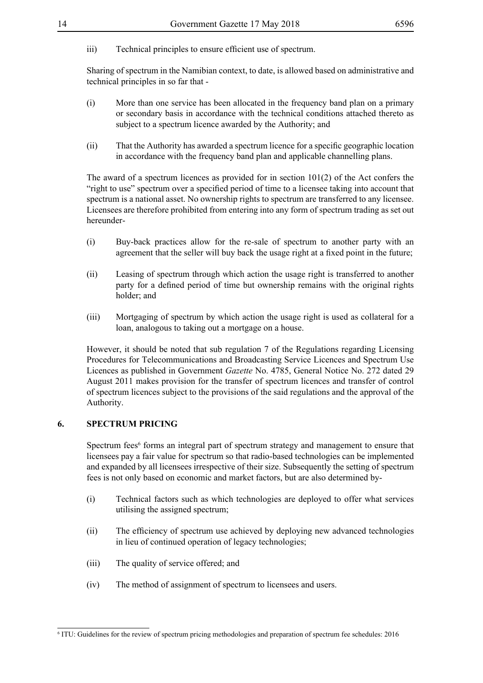iii) Technical principles to ensure efficient use of spectrum.

Sharing of spectrum in the Namibian context, to date, is allowed based on administrative and technical principles in so far that -

- (i) More than one service has been allocated in the frequency band plan on a primary or secondary basis in accordance with the technical conditions attached thereto as subject to a spectrum licence awarded by the Authority; and
- (ii) That the Authority has awarded a spectrum licence for a specific geographic location in accordance with the frequency band plan and applicable channelling plans.

The award of a spectrum licences as provided for in section 101(2) of the Act confers the "right to use" spectrum over a specified period of time to a licensee taking into account that spectrum is a national asset. No ownership rights to spectrum are transferred to any licensee. Licensees are therefore prohibited from entering into any form of spectrum trading as set out hereunder-

- (i) Buy-back practices allow for the re-sale of spectrum to another party with an agreement that the seller will buy back the usage right at a fixed point in the future;
- (ii) Leasing of spectrum through which action the usage right is transferred to another party for a defined period of time but ownership remains with the original rights holder; and
- (iii) Mortgaging of spectrum by which action the usage right is used as collateral for a loan, analogous to taking out a mortgage on a house.

However, it should be noted that sub regulation 7 of the Regulations regarding Licensing Procedures for Telecommunications and Broadcasting Service Licences and Spectrum Use Licences as published in Government *Gazette* No. 4785, General Notice No. 272 dated 29 August 2011 makes provision for the transfer of spectrum licences and transfer of control of spectrum licences subject to the provisions of the said regulations and the approval of the Authority.

#### **6. SPECTRUM PRICING**

Spectrum fees<sup>6</sup> forms an integral part of spectrum strategy and management to ensure that licensees pay a fair value for spectrum so that radio-based technologies can be implemented and expanded by all licensees irrespective of their size. Subsequently the setting of spectrum fees is not only based on economic and market factors, but are also determined by-

- (i) Technical factors such as which technologies are deployed to offer what services utilising the assigned spectrum;
- (ii) The efficiency of spectrum use achieved by deploying new advanced technologies in lieu of continued operation of legacy technologies;
- (iii) The quality of service offered; and
- (iv) The method of assignment of spectrum to licensees and users.

<sup>6</sup> ITU: Guidelines for the review of spectrum pricing methodologies and preparation of spectrum fee schedules: 2016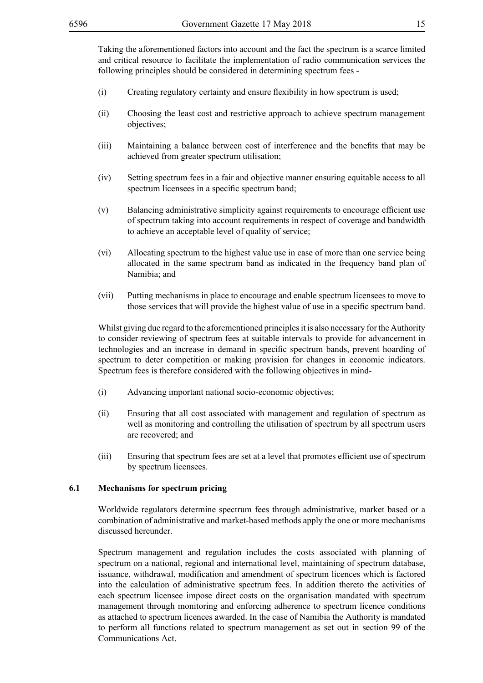Taking the aforementioned factors into account and the fact the spectrum is a scarce limited and critical resource to facilitate the implementation of radio communication services the following principles should be considered in determining spectrum fees -

- (i) Creating regulatory certainty and ensure flexibility in how spectrum is used;
- (ii) Choosing the least cost and restrictive approach to achieve spectrum management objectives;
- (iii) Maintaining a balance between cost of interference and the benefits that may be achieved from greater spectrum utilisation;
- (iv) Setting spectrum fees in a fair and objective manner ensuring equitable access to all spectrum licensees in a specific spectrum band;
- (v) Balancing administrative simplicity against requirements to encourage efficient use of spectrum taking into account requirements in respect of coverage and bandwidth to achieve an acceptable level of quality of service;
- (vi) Allocating spectrum to the highest value use in case of more than one service being allocated in the same spectrum band as indicated in the frequency band plan of Namibia; and
- (vii) Putting mechanisms in place to encourage and enable spectrum licensees to move to those services that will provide the highest value of use in a specific spectrum band.

Whilst giving due regard to the aforementioned principles it is also necessary for the Authority to consider reviewing of spectrum fees at suitable intervals to provide for advancement in technologies and an increase in demand in specific spectrum bands, prevent hoarding of spectrum to deter competition or making provision for changes in economic indicators. Spectrum fees is therefore considered with the following objectives in mind-

- (i) Advancing important national socio-economic objectives;
- (ii) Ensuring that all cost associated with management and regulation of spectrum as well as monitoring and controlling the utilisation of spectrum by all spectrum users are recovered; and
- (iii) Ensuring that spectrum fees are set at a level that promotes efficient use of spectrum by spectrum licensees.

#### **6.1 Mechanisms for spectrum pricing**

Worldwide regulators determine spectrum fees through administrative, market based or a combination of administrative and market-based methods apply the one or more mechanisms discussed hereunder.

Spectrum management and regulation includes the costs associated with planning of spectrum on a national, regional and international level, maintaining of spectrum database, issuance, withdrawal, modification and amendment of spectrum licences which is factored into the calculation of administrative spectrum fees. In addition thereto the activities of each spectrum licensee impose direct costs on the organisation mandated with spectrum management through monitoring and enforcing adherence to spectrum licence conditions as attached to spectrum licences awarded. In the case of Namibia the Authority is mandated to perform all functions related to spectrum management as set out in section 99 of the Communications Act.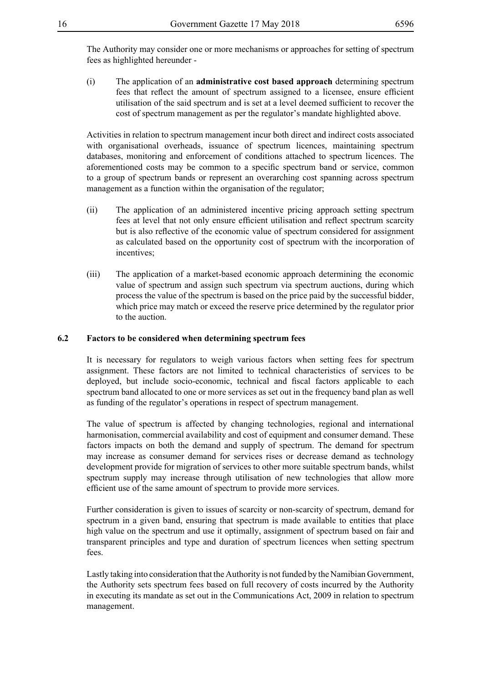The Authority may consider one or more mechanisms or approaches for setting of spectrum fees as highlighted hereunder -

(i) The application of an **administrative cost based approach** determining spectrum fees that reflect the amount of spectrum assigned to a licensee, ensure efficient utilisation of the said spectrum and is set at a level deemed sufficient to recover the cost of spectrum management as per the regulator's mandate highlighted above.

Activities in relation to spectrum management incur both direct and indirect costs associated with organisational overheads, issuance of spectrum licences, maintaining spectrum databases, monitoring and enforcement of conditions attached to spectrum licences. The aforementioned costs may be common to a specific spectrum band or service, common to a group of spectrum bands or represent an overarching cost spanning across spectrum management as a function within the organisation of the regulator;

- (ii) The application of an administered incentive pricing approach setting spectrum fees at level that not only ensure efficient utilisation and reflect spectrum scarcity but is also reflective of the economic value of spectrum considered for assignment as calculated based on the opportunity cost of spectrum with the incorporation of incentives;
- (iii) The application of a market-based economic approach determining the economic value of spectrum and assign such spectrum via spectrum auctions, during which process the value of the spectrum is based on the price paid by the successful bidder, which price may match or exceed the reserve price determined by the regulator prior to the auction.

#### **6.2 Factors to be considered when determining spectrum fees**

It is necessary for regulators to weigh various factors when setting fees for spectrum assignment. These factors are not limited to technical characteristics of services to be deployed, but include socio-economic, technical and fiscal factors applicable to each spectrum band allocated to one or more services as set out in the frequency band plan as well as funding of the regulator's operations in respect of spectrum management.

The value of spectrum is affected by changing technologies, regional and international harmonisation, commercial availability and cost of equipment and consumer demand. These factors impacts on both the demand and supply of spectrum. The demand for spectrum may increase as consumer demand for services rises or decrease demand as technology development provide for migration of services to other more suitable spectrum bands, whilst spectrum supply may increase through utilisation of new technologies that allow more efficient use of the same amount of spectrum to provide more services.

Further consideration is given to issues of scarcity or non-scarcity of spectrum, demand for spectrum in a given band, ensuring that spectrum is made available to entities that place high value on the spectrum and use it optimally, assignment of spectrum based on fair and transparent principles and type and duration of spectrum licences when setting spectrum fees.

Lastly taking into consideration that the Authority is not funded by the Namibian Government, the Authority sets spectrum fees based on full recovery of costs incurred by the Authority in executing its mandate as set out in the Communications Act, 2009 in relation to spectrum management.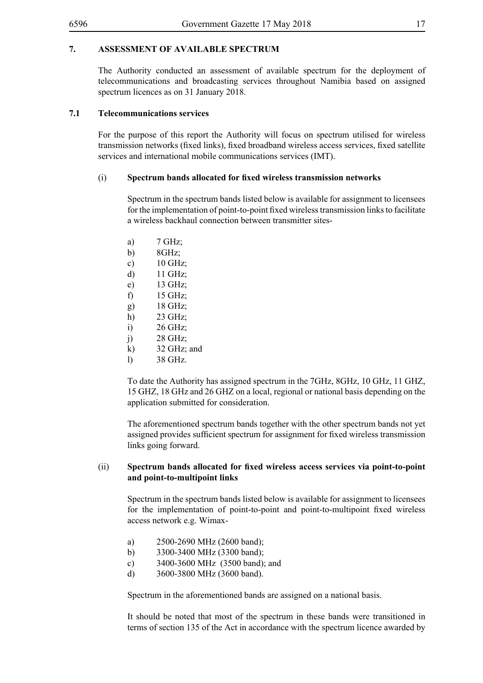#### **7. ASSESSMENT OF AVAILABLE SPECTRUM**

The Authority conducted an assessment of available spectrum for the deployment of telecommunications and broadcasting services throughout Namibia based on assigned spectrum licences as on 31 January 2018.

#### **7.1 Telecommunications services**

For the purpose of this report the Authority will focus on spectrum utilised for wireless transmission networks (fixed links), fixed broadband wireless access services, fixed satellite services and international mobile communications services (IMT).

#### (i) **Spectrum bands allocated for fixed wireless transmission networks**

Spectrum in the spectrum bands listed below is available for assignment to licensees for the implementation of point-to-point fixed wireless transmission links to facilitate a wireless backhaul connection between transmitter sites-

a) 7 GHz; b)  $8GHz$ ; c) 10 GHz; d) 11 GHz; e) 13 GHz; f) 15 GHz; g) 18 GHz; h) 23 GHz; i) 26 GHz; j) 28 GHz; k) 32 GHz; and l) 38 GHz.

To date the Authority has assigned spectrum in the 7GHz, 8GHz, 10 GHz, 11 GHZ, 15 GHZ, 18 GHz and 26 GHZ on a local, regional or national basis depending on the application submitted for consideration.

The aforementioned spectrum bands together with the other spectrum bands not yet assigned provides sufficient spectrum for assignment for fixed wireless transmission links going forward.

#### (ii) **Spectrum bands allocated for fixed wireless access services via point-to-point and point-to-multipoint links**

Spectrum in the spectrum bands listed below is available for assignment to licensees for the implementation of point-to-point and point-to-multipoint fixed wireless access network e.g. Wimax-

- a) 2500-2690 MHz (2600 band);
- b) 3300-3400 MHz (3300 band);
- c) 3400-3600 MHz (3500 band); and
- d) 3600-3800 MHz (3600 band).

Spectrum in the aforementioned bands are assigned on a national basis.

It should be noted that most of the spectrum in these bands were transitioned in terms of section 135 of the Act in accordance with the spectrum licence awarded by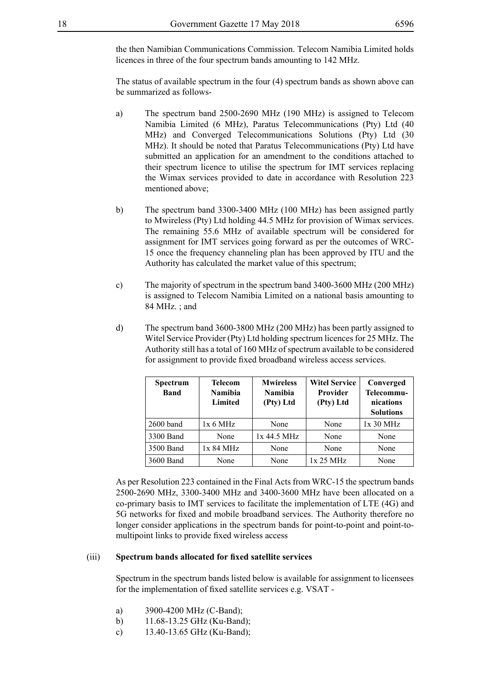the then Namibian Communications Commission. Telecom Namibia Limited holds licences in three of the four spectrum bands amounting to 142 MHz.

The status of available spectrum in the four (4) spectrum bands as shown above can be summarized as follows-

- a) The spectrum band 2500-2690 MHz (190 MHz) is assigned to Telecom Namibia Limited (6 MHz), Paratus Telecommunications (Pty) Ltd (40 MHz) and Converged Telecommunications Solutions (Pty) Ltd (30 MHz). It should be noted that Paratus Telecommunications (Pty) Ltd have submitted an application for an amendment to the conditions attached to their spectrum licence to utilise the spectrum for IMT services replacing the Wimax services provided to date in accordance with Resolution 223 mentioned above;
- b) The spectrum band 3300-3400 MHz (100 MHz) has been assigned partly to Mwireless (Pty) Ltd holding 44.5 MHz for provision of Wimax services. The remaining 55.6 MHz of available spectrum will be considered for assignment for IMT services going forward as per the outcomes of WRC-15 once the frequency channeling plan has been approved by ITU and the Authority has calculated the market value of this spectrum;
- c) The majority of spectrum in the spectrum band 3400-3600 MHz (200 MHz) is assigned to Telecom Namibia Limited on a national basis amounting to 84 MHz. ; and
- d) The spectrum band 3600-3800 MHz (200 MHz) has been partly assigned to Witel Service Provider (Pty) Ltd holding spectrum licences for 25 MHz. The Authority still has a total of 160 MHz of spectrum available to be considered for assignment to provide fixed broadband wireless access services.

| Spectrum<br><b>Band</b> | <b>Telecom</b><br><b>Namibia</b><br>Limited | <b>Mwireless</b><br><b>Namibia</b><br>(Pty) Ltd | <b>Witel Service</b><br><b>Provider</b><br>(Pty) Ltd | Converged<br>Telecommu-<br>nications<br><b>Solutions</b> |
|-------------------------|---------------------------------------------|-------------------------------------------------|------------------------------------------------------|----------------------------------------------------------|
| $2600$ band             | 1x 6 MHz                                    | None                                            | None                                                 | 1x30 MHz                                                 |
| 3300 Band               | None                                        | $1x$ 44.5 MHz                                   | None                                                 | None                                                     |
| 3500 Band               | 1x 84 MHz                                   | None                                            | None                                                 | None                                                     |
| 3600 Band               | None                                        | None                                            | 1x 25 MHz                                            | None                                                     |

As per Resolution 223 contained in the Final Acts from WRC-15 the spectrum bands 2500-2690 MHz, 3300-3400 MHz and 3400-3600 MHz have been allocated on a co-primary basis to IMT services to facilitate the implementation of LTE (4G) and 5G networks for fixed and mobile broadband services. The Authority therefore no longer consider applications in the spectrum bands for point-to-point and point-tomultipoint links to provide fixed wireless access

#### (iii) **Spectrum bands allocated for fixed satellite services**

Spectrum in the spectrum bands listed below is available for assignment to licensees for the implementation of fixed satellite services e.g. VSAT -

- a) 3900-4200 MHz (C-Band);
- b) 11.68-13.25 GHz (Ku-Band);
- c) 13.40-13.65 GHz (Ku-Band);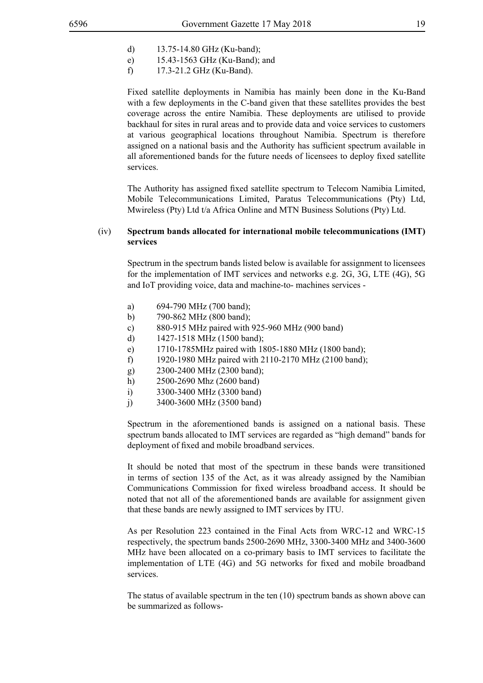- d) 13.75-14.80 GHz (Ku-band);
- e) 15.43-1563 GHz (Ku-Band); and
- f) 17.3-21.2 GHz (Ku-Band).

Fixed satellite deployments in Namibia has mainly been done in the Ku-Band with a few deployments in the C-band given that these satellites provides the best coverage across the entire Namibia. These deployments are utilised to provide backhaul for sites in rural areas and to provide data and voice services to customers at various geographical locations throughout Namibia. Spectrum is therefore assigned on a national basis and the Authority has sufficient spectrum available in all aforementioned bands for the future needs of licensees to deploy fixed satellite services.

The Authority has assigned fixed satellite spectrum to Telecom Namibia Limited, Mobile Telecommunications Limited, Paratus Telecommunications (Pty) Ltd, Mwireless (Pty) Ltd t/a Africa Online and MTN Business Solutions (Pty) Ltd.

#### (iv) **Spectrum bands allocated for international mobile telecommunications (IMT) services**

Spectrum in the spectrum bands listed below is available for assignment to licensees for the implementation of IMT services and networks e.g. 2G, 3G, LTE (4G), 5G and IoT providing voice, data and machine-to- machines services -

- a) 694-790 MHz (700 band);
- b) 790-862 MHz (800 band);
- c) 880-915 MHz paired with 925-960 MHz (900 band)
- d) 1427-1518 MHz (1500 band);
- e) 1710-1785MHz paired with 1805-1880 MHz (1800 band);
- f) 1920-1980 MHz paired with 2110-2170 MHz (2100 band);
- g) 2300-2400 MHz (2300 band);
- h) 2500-2690 Mhz (2600 band)
- i) 3300-3400 MHz (3300 band)
- j) 3400-3600 MHz (3500 band)

Spectrum in the aforementioned bands is assigned on a national basis. These spectrum bands allocated to IMT services are regarded as "high demand" bands for deployment of fixed and mobile broadband services.

It should be noted that most of the spectrum in these bands were transitioned in terms of section 135 of the Act, as it was already assigned by the Namibian Communications Commission for fixed wireless broadband access. It should be noted that not all of the aforementioned bands are available for assignment given that these bands are newly assigned to IMT services by ITU.

As per Resolution 223 contained in the Final Acts from WRC-12 and WRC-15 respectively, the spectrum bands 2500-2690 MHz, 3300-3400 MHz and 3400-3600 MHz have been allocated on a co-primary basis to IMT services to facilitate the implementation of LTE (4G) and 5G networks for fixed and mobile broadband services.

The status of available spectrum in the ten (10) spectrum bands as shown above can be summarized as follows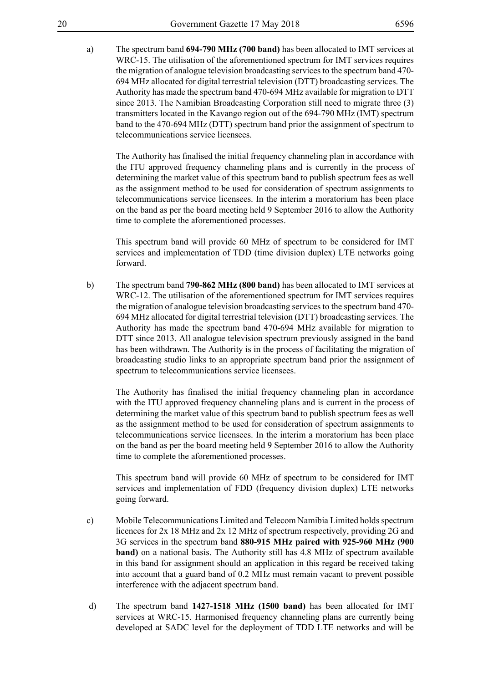a) The spectrum band **694-790 MHz (700 band)** has been allocated to IMT services at WRC-15. The utilisation of the aforementioned spectrum for IMT services requires the migration of analogue television broadcasting services to the spectrum band 470- 694 MHz allocated for digital terrestrial television (DTT) broadcasting services. The Authority has made the spectrum band 470-694 MHz available for migration to DTT since 2013. The Namibian Broadcasting Corporation still need to migrate three (3) transmitters located in the Kavango region out of the 694-790 MHz (IMT) spectrum band to the 470-694 MHz (DTT) spectrum band prior the assignment of spectrum to telecommunications service licensees.

The Authority has finalised the initial frequency channeling plan in accordance with the ITU approved frequency channeling plans and is currently in the process of determining the market value of this spectrum band to publish spectrum fees as well as the assignment method to be used for consideration of spectrum assignments to telecommunications service licensees. In the interim a moratorium has been place on the band as per the board meeting held 9 September 2016 to allow the Authority time to complete the aforementioned processes.

This spectrum band will provide 60 MHz of spectrum to be considered for IMT services and implementation of TDD (time division duplex) LTE networks going forward.

b) The spectrum band **790-862 MHz (800 band)** has been allocated to IMT services at WRC-12. The utilisation of the aforementioned spectrum for IMT services requires the migration of analogue television broadcasting services to the spectrum band 470- 694 MHz allocated for digital terrestrial television (DTT) broadcasting services. The Authority has made the spectrum band 470-694 MHz available for migration to DTT since 2013. All analogue television spectrum previously assigned in the band has been withdrawn. The Authority is in the process of facilitating the migration of broadcasting studio links to an appropriate spectrum band prior the assignment of spectrum to telecommunications service licensees.

The Authority has finalised the initial frequency channeling plan in accordance with the ITU approved frequency channeling plans and is current in the process of determining the market value of this spectrum band to publish spectrum fees as well as the assignment method to be used for consideration of spectrum assignments to telecommunications service licensees. In the interim a moratorium has been place on the band as per the board meeting held 9 September 2016 to allow the Authority time to complete the aforementioned processes.

This spectrum band will provide 60 MHz of spectrum to be considered for IMT services and implementation of FDD (frequency division duplex) LTE networks going forward.

- c) Mobile Telecommunications Limited and Telecom Namibia Limited holds spectrum licences for 2x 18 MHz and 2x 12 MHz of spectrum respectively, providing 2G and 3G services in the spectrum band **880-915 MHz paired with 925-960 MHz (900 band)** on a national basis. The Authority still has 4.8 MHz of spectrum available in this band for assignment should an application in this regard be received taking into account that a guard band of 0.2 MHz must remain vacant to prevent possible interference with the adjacent spectrum band.
- d) The spectrum band **1427-1518 MHz (1500 band)** has been allocated for IMT services at WRC-15. Harmonised frequency channeling plans are currently being developed at SADC level for the deployment of TDD LTE networks and will be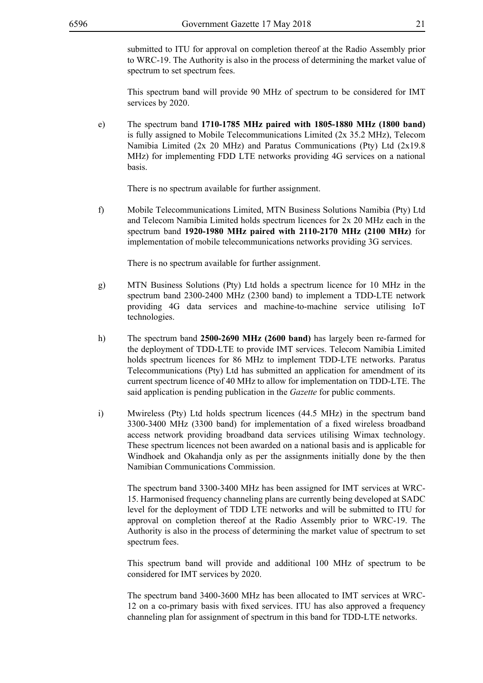submitted to ITU for approval on completion thereof at the Radio Assembly prior to WRC-19. The Authority is also in the process of determining the market value of spectrum to set spectrum fees.

This spectrum band will provide 90 MHz of spectrum to be considered for IMT services by 2020.

e) The spectrum band **1710-1785 MHz paired with 1805-1880 MHz (1800 band)** is fully assigned to Mobile Telecommunications Limited (2x 35.2 MHz), Telecom Namibia Limited (2x 20 MHz) and Paratus Communications (Pty) Ltd (2x19.8 MHz) for implementing FDD LTE networks providing 4G services on a national basis.

There is no spectrum available for further assignment.

f) Mobile Telecommunications Limited, MTN Business Solutions Namibia (Pty) Ltd and Telecom Namibia Limited holds spectrum licences for 2x 20 MHz each in the spectrum band **1920-1980 MHz paired with 2110-2170 MHz (2100 MHz)** for implementation of mobile telecommunications networks providing 3G services.

There is no spectrum available for further assignment.

- g) MTN Business Solutions (Pty) Ltd holds a spectrum licence for 10 MHz in the spectrum band 2300-2400 MHz (2300 band) to implement a TDD-LTE network providing 4G data services and machine-to-machine service utilising IoT technologies.
- h) The spectrum band **2500-2690 MHz (2600 band)** has largely been re-farmed for the deployment of TDD-LTE to provide IMT services. Telecom Namibia Limited holds spectrum licences for 86 MHz to implement TDD-LTE networks. Paratus Telecommunications (Pty) Ltd has submitted an application for amendment of its current spectrum licence of 40 MHz to allow for implementation on TDD-LTE. The said application is pending publication in the *Gazette* for public comments.
- i) Mwireless (Pty) Ltd holds spectrum licences (44.5 MHz) in the spectrum band 3300-3400 MHz (3300 band) for implementation of a fixed wireless broadband access network providing broadband data services utilising Wimax technology. These spectrum licences not been awarded on a national basis and is applicable for Windhoek and Okahandja only as per the assignments initially done by the then Namibian Communications Commission.

The spectrum band 3300-3400 MHz has been assigned for IMT services at WRC-15. Harmonised frequency channeling plans are currently being developed at SADC level for the deployment of TDD LTE networks and will be submitted to ITU for approval on completion thereof at the Radio Assembly prior to WRC-19. The Authority is also in the process of determining the market value of spectrum to set spectrum fees.

This spectrum band will provide and additional 100 MHz of spectrum to be considered for IMT services by 2020.

The spectrum band 3400-3600 MHz has been allocated to IMT services at WRC-12 on a co-primary basis with fixed services. ITU has also approved a frequency channeling plan for assignment of spectrum in this band for TDD-LTE networks.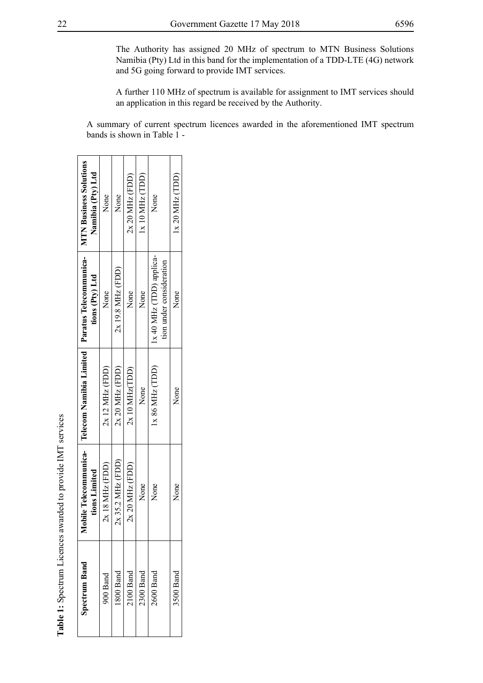The Authority has assigned 20 MHz of spectrum to MTN Business Solutions Namibia (Pty) Ltd in this band for the implementation of a TDD-LTE (4G) network and 5G going forward to provide IMT services.

A further 110 MHz of spectrum is available for assignment to IMT services should an application in this regard be received by the Authority.

A summary of current spectrum licences awarded in the aforementioned IMT spectrum bands is shown in Table 1 -

| <b>Spectrum Band</b> | Mobile Telecommunica-<br>tions Limited | Telecom Namibia Limited   Paratus Telecommunica- | tions (Pty) Ltd                                     | <b>MTN Business Solutions</b><br>Namibia (Pty) Ltd |
|----------------------|----------------------------------------|--------------------------------------------------|-----------------------------------------------------|----------------------------------------------------|
| 900 Band             | 18 MHz (FDD)                           | $2x$ 12 MHz (FDD)                                | None                                                | None                                               |
| 800 Band             | $2x$ 35.2 MHz (FDD)                    | $2x 20$ MHz (FDD)                                | $2x$ 19.8 MHz (FDD)                                 | None                                               |
| $2100$ Band          | 20 MHz (FDD)                           | $2x10$ MHz(TDD)                                  | None                                                | $2x 20$ MHz (FDD)                                  |
| 2300 Band            | None                                   | None                                             | None                                                | 1x10 MHz(TDD)                                      |
| 2600 Band            | None                                   | $X 86$ MHz (TDD)                                 | x 40 MHz (TDD) applica-<br>tion under consideration | None                                               |
| 3500 Band            | None                                   | None                                             | None                                                | 1x 20 MHz (TDD)                                    |
|                      |                                        |                                                  |                                                     |                                                    |

**Table 1:** Spectrum Licences awarded to provide IMT services

Table 1: Spectrum Licences awarded to provide IMT services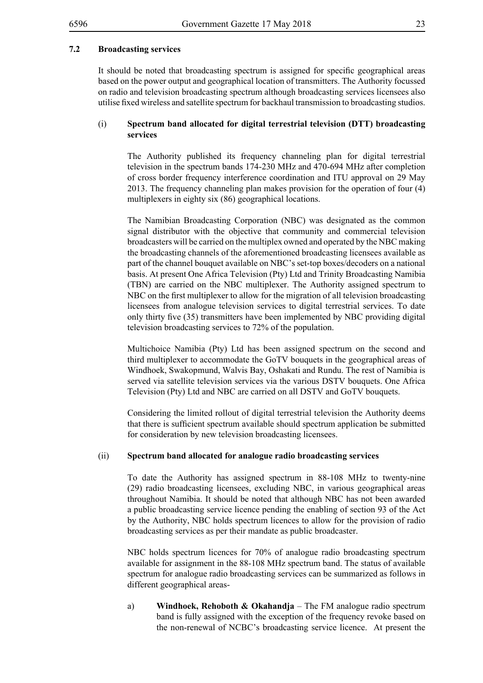#### **7.2 Broadcasting services**

It should be noted that broadcasting spectrum is assigned for specific geographical areas based on the power output and geographical location of transmitters. The Authority focussed on radio and television broadcasting spectrum although broadcasting services licensees also utilise fixed wireless and satellite spectrum for backhaul transmission to broadcasting studios.

#### (i) **Spectrum band allocated for digital terrestrial television (DTT) broadcasting services**

The Authority published its frequency channeling plan for digital terrestrial television in the spectrum bands 174-230 MHz and 470-694 MHz after completion of cross border frequency interference coordination and ITU approval on 29 May 2013. The frequency channeling plan makes provision for the operation of four (4) multiplexers in eighty six (86) geographical locations.

The Namibian Broadcasting Corporation (NBC) was designated as the common signal distributor with the objective that community and commercial television broadcasters will be carried on the multiplex owned and operated by the NBC making the broadcasting channels of the aforementioned broadcasting licensees available as part of the channel bouquet available on NBC's set-top boxes/decoders on a national basis. At present One Africa Television (Pty) Ltd and Trinity Broadcasting Namibia (TBN) are carried on the NBC multiplexer. The Authority assigned spectrum to NBC on the first multiplexer to allow for the migration of all television broadcasting licensees from analogue television services to digital terrestrial services. To date only thirty five (35) transmitters have been implemented by NBC providing digital television broadcasting services to 72% of the population.

Multichoice Namibia (Pty) Ltd has been assigned spectrum on the second and third multiplexer to accommodate the GoTV bouquets in the geographical areas of Windhoek, Swakopmund, Walvis Bay, Oshakati and Rundu. The rest of Namibia is served via satellite television services via the various DSTV bouquets. One Africa Television (Pty) Ltd and NBC are carried on all DSTV and GoTV bouquets.

Considering the limited rollout of digital terrestrial television the Authority deems that there is sufficient spectrum available should spectrum application be submitted for consideration by new television broadcasting licensees.

#### (ii) **Spectrum band allocated for analogue radio broadcasting services**

To date the Authority has assigned spectrum in 88-108 MHz to twenty-nine (29) radio broadcasting licensees, excluding NBC, in various geographical areas throughout Namibia. It should be noted that although NBC has not been awarded a public broadcasting service licence pending the enabling of section 93 of the Act by the Authority, NBC holds spectrum licences to allow for the provision of radio broadcasting services as per their mandate as public broadcaster.

NBC holds spectrum licences for 70% of analogue radio broadcasting spectrum available for assignment in the 88-108 MHz spectrum band. The status of available spectrum for analogue radio broadcasting services can be summarized as follows in different geographical areas-

a) **Windhoek, Rehoboth & Okahandja** – The FM analogue radio spectrum band is fully assigned with the exception of the frequency revoke based on the non-renewal of NCBC's broadcasting service licence. At present the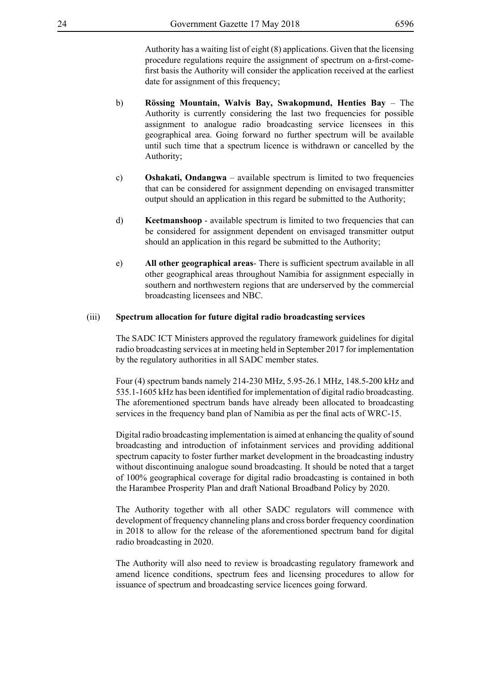Authority has a waiting list of eight (8) applications. Given that the licensing procedure regulations require the assignment of spectrum on a-first-comefirst basis the Authority will consider the application received at the earliest date for assignment of this frequency;

- b) **Rössing Mountain, Walvis Bay, Swakopmund, Henties Bay** The Authority is currently considering the last two frequencies for possible assignment to analogue radio broadcasting service licensees in this geographical area. Going forward no further spectrum will be available until such time that a spectrum licence is withdrawn or cancelled by the Authority;
- c) **Oshakati, Ondangwa** available spectrum is limited to two frequencies that can be considered for assignment depending on envisaged transmitter output should an application in this regard be submitted to the Authority;
- d) **Keetmanshoop** available spectrum is limited to two frequencies that can be considered for assignment dependent on envisaged transmitter output should an application in this regard be submitted to the Authority;
- e) **All other geographical areas** There is sufficient spectrum available in all other geographical areas throughout Namibia for assignment especially in southern and northwestern regions that are underserved by the commercial broadcasting licensees and NBC.

#### (iii) **Spectrum allocation for future digital radio broadcasting services**

The SADC ICT Ministers approved the regulatory framework guidelines for digital radio broadcasting services at in meeting held in September 2017 for implementation by the regulatory authorities in all SADC member states.

Four (4) spectrum bands namely 214-230 MHz, 5.95-26.1 MHz, 148.5-200 kHz and 535.1-1605 kHz has been identified for implementation of digital radio broadcasting. The aforementioned spectrum bands have already been allocated to broadcasting services in the frequency band plan of Namibia as per the final acts of WRC-15.

Digital radio broadcasting implementation is aimed at enhancing the quality of sound broadcasting and introduction of infotainment services and providing additional spectrum capacity to foster further market development in the broadcasting industry without discontinuing analogue sound broadcasting. It should be noted that a target of 100% geographical coverage for digital radio broadcasting is contained in both the Harambee Prosperity Plan and draft National Broadband Policy by 2020.

The Authority together with all other SADC regulators will commence with development of frequency channeling plans and cross border frequency coordination in 2018 to allow for the release of the aforementioned spectrum band for digital radio broadcasting in 2020.

The Authority will also need to review is broadcasting regulatory framework and amend licence conditions, spectrum fees and licensing procedures to allow for issuance of spectrum and broadcasting service licences going forward.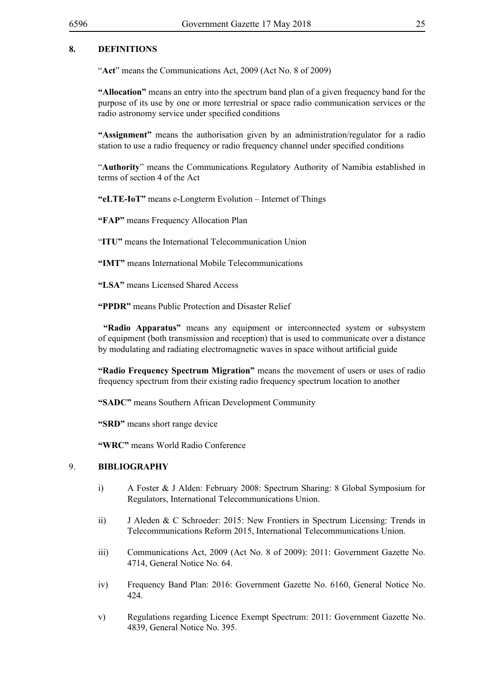#### **8. DEFINITIONS**

"**Act**" means the Communications Act, 2009 (Act No. 8 of 2009)

**"Allocation"** means an entry into the spectrum band plan of a given frequency band for the purpose of its use by one or more terrestrial or space radio communication services or the radio astronomy service under specified conditions

**"Assignment"** means the authorisation given by an administration/regulator for a radio station to use a radio frequency or radio frequency channel under specified conditions

"**Authority**" means the Communications Regulatory Authority of Namibia established in terms of section 4 of the Act

**"eLTE-IoT"** means e-Longterm Evolution – Internet of Things

**"FAP"** means Frequency Allocation Plan

"**ITU"** means the International Telecommunication Union

**"IMT"** means International Mobile Telecommunications

**"LSA"** means Licensed Shared Access

**"PPDR"** means Public Protection and Disaster Relief

 **"Radio Apparatus"** means any equipment or interconnected system or subsystem of equipment (both transmission and reception) that is used to communicate over a distance by modulating and radiating electromagnetic waves in space without artificial guide

**"Radio Frequency Spectrum Migration"** means the movement of users or uses of radio frequency spectrum from their existing radio frequency spectrum location to another

**"SADC"** means Southern African Development Community

**"SRD"** means short range device

**"WRC"** means World Radio Conference

#### 9. **BIBLIOGRAPHY**

- i) A Foster & J Alden: February 2008: Spectrum Sharing: 8 Global Symposium for Regulators, International Telecommunications Union.
- ii) J Aleden & C Schroeder: 2015: New Frontiers in Spectrum Licensing: Trends in Telecommunications Reform 2015, International Telecommunications Union.
- iii) Communications Act, 2009 (Act No. 8 of 2009): 2011: Government Gazette No. 4714, General Notice No. 64.
- iv) Frequency Band Plan: 2016: Government Gazette No. 6160, General Notice No. 424.
- v) Regulations regarding Licence Exempt Spectrum: 2011: Government Gazette No. 4839, General Notice No. 395.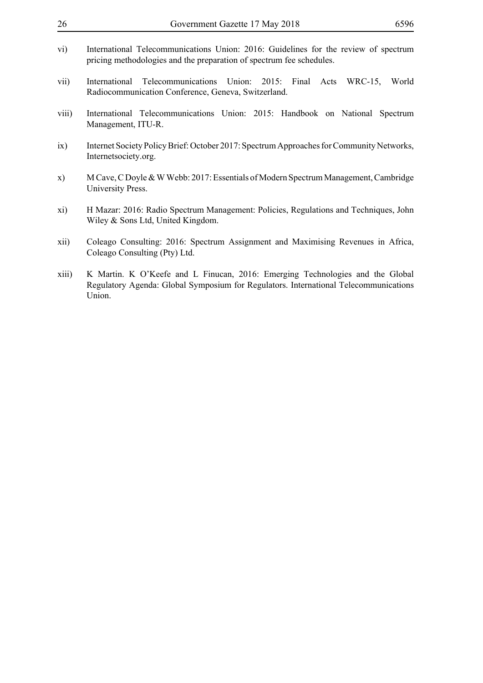| 26    | Government Gazette 17 May 2018                                                                                                                                        | 6596  |
|-------|-----------------------------------------------------------------------------------------------------------------------------------------------------------------------|-------|
| vi)   | International Telecommunications Union: 2016: Guidelines for the review of spectrum<br>pricing methodologies and the preparation of spectrum fee schedules.           |       |
| vii)  | International Telecommunications<br>Union:<br>Final<br>2015:<br>$WRC-15$ ,<br>Acts<br>Radiocommunication Conference, Geneva, Switzerland.                             | World |
| viii) | International Telecommunications Union: 2015: Handbook on National Spectrum<br>Management, ITU-R.                                                                     |       |
| ix)   | Internet Society Policy Brief: October 2017: Spectrum Approaches for Community Networks,<br>Internetsociety.org.                                                      |       |
| X)    | M Cave, C Doyle & W Webb: 2017: Essentials of Modern Spectrum Management, Cambridge<br>University Press.                                                              |       |
| xi)   | H Mazar: 2016: Radio Spectrum Management: Policies, Regulations and Techniques, John<br>Wiley & Sons Ltd, United Kingdom.                                             |       |
| xii)  | Coleago Consulting: 2016: Spectrum Assignment and Maximising Revenues in Africa,<br>Coleago Consulting (Pty) Ltd.                                                     |       |
| xiii) | K Martin. K O'Keefe and L Finucan, 2016: Emerging Technologies and the Global<br>Regulatory Agenda: Global Symposium for Regulators. International Telecommunications |       |

Union.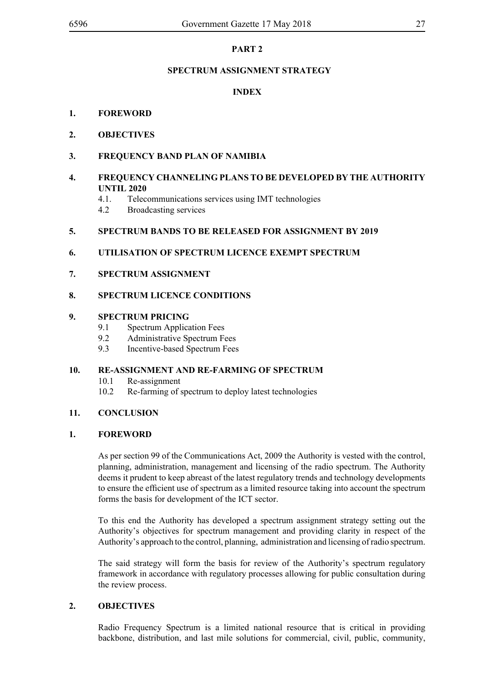#### **PART 2**

#### **SPECTRUM ASSIGNMENT STRATEGY**

#### **INDEX**

#### **1. FOREWORD**

**2. OBJECTIVES**

#### **3. FREQUENCY BAND PLAN OF NAMIBIA**

#### **4. FREQUENCY CHANNELING PLANS TO BE DEVELOPED BY THE AUTHORITY UNTIL 2020**

- 4.1. Telecommunications services using IMT technologies
- 4.2 Broadcasting services

#### **5. SPECTRUM BANDS TO BE RELEASED FOR ASSIGNMENT BY 2019**

#### **6. UTILISATION OF SPECTRUM LICENCE EXEMPT SPECTRUM**

#### **7. SPECTRUM ASSIGNMENT**

#### **8. SPECTRUM LICENCE CONDITIONS**

#### **9. SPECTRUM PRICING**

- 9.1 Spectrum Application Fees
- 9.2 Administrative Spectrum Fees
- 9.3 Incentive-based Spectrum Fees

#### **10. RE-ASSIGNMENT AND RE-FARMING OF SPECTRUM**

- 10.1 Re-assignment
- 10.2 Re-farming of spectrum to deploy latest technologies

#### **11. CONCLUSION**

#### **1. FOREWORD**

As per section 99 of the Communications Act, 2009 the Authority is vested with the control, planning, administration, management and licensing of the radio spectrum. The Authority deems it prudent to keep abreast of the latest regulatory trends and technology developments to ensure the efficient use of spectrum as a limited resource taking into account the spectrum forms the basis for development of the ICT sector.

To this end the Authority has developed a spectrum assignment strategy setting out the Authority's objectives for spectrum management and providing clarity in respect of the Authority's approach to the control, planning, administration and licensing of radio spectrum.

The said strategy will form the basis for review of the Authority's spectrum regulatory framework in accordance with regulatory processes allowing for public consultation during the review process.

#### **2. OBJECTIVES**

Radio Frequency Spectrum is a limited national resource that is critical in providing backbone, distribution, and last mile solutions for commercial, civil, public, community,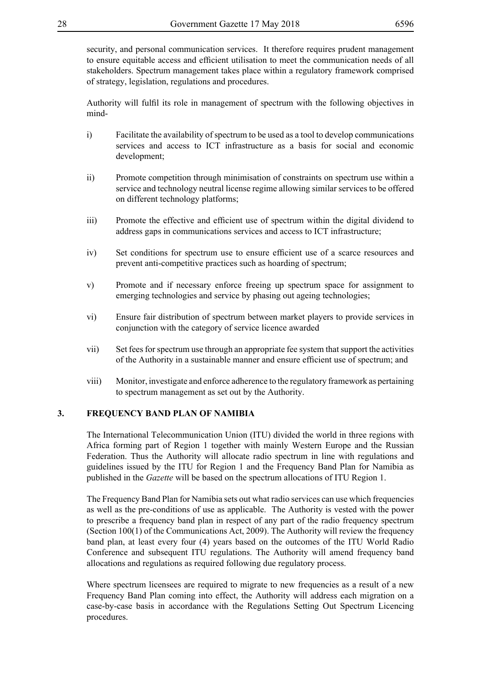security, and personal communication services. It therefore requires prudent management to ensure equitable access and efficient utilisation to meet the communication needs of all stakeholders. Spectrum management takes place within a regulatory framework comprised of strategy, legislation, regulations and procedures.

Authority will fulfil its role in management of spectrum with the following objectives in mind-

- i) Facilitate the availability of spectrum to be used as a tool to develop communications services and access to ICT infrastructure as a basis for social and economic development;
- ii) Promote competition through minimisation of constraints on spectrum use within a service and technology neutral license regime allowing similar services to be offered on different technology platforms;
- iii) Promote the effective and efficient use of spectrum within the digital dividend to address gaps in communications services and access to ICT infrastructure;
- iv) Set conditions for spectrum use to ensure efficient use of a scarce resources and prevent anti-competitive practices such as hoarding of spectrum;
- v) Promote and if necessary enforce freeing up spectrum space for assignment to emerging technologies and service by phasing out ageing technologies;
- vi) Ensure fair distribution of spectrum between market players to provide services in conjunction with the category of service licence awarded
- vii) Set fees for spectrum use through an appropriate fee system that support the activities of the Authority in a sustainable manner and ensure efficient use of spectrum; and
- viii) Monitor, investigate and enforce adherence to the regulatory framework as pertaining to spectrum management as set out by the Authority.

#### **3. FREQUENCY BAND PLAN OF NAMIBIA**

The International Telecommunication Union (ITU) divided the world in three regions with Africa forming part of Region 1 together with mainly Western Europe and the Russian Federation. Thus the Authority will allocate radio spectrum in line with regulations and guidelines issued by the ITU for Region 1 and the Frequency Band Plan for Namibia as published in the *Gazette* will be based on the spectrum allocations of ITU Region 1.

The Frequency Band Plan for Namibia sets out what radio services can use which frequencies as well as the pre-conditions of use as applicable. The Authority is vested with the power to prescribe a frequency band plan in respect of any part of the radio frequency spectrum (Section 100(1) of the Communications Act, 2009). The Authority will review the frequency band plan, at least every four (4) years based on the outcomes of the ITU World Radio Conference and subsequent ITU regulations. The Authority will amend frequency band allocations and regulations as required following due regulatory process.

Where spectrum licensees are required to migrate to new frequencies as a result of a new Frequency Band Plan coming into effect, the Authority will address each migration on a case-by-case basis in accordance with the Regulations Setting Out Spectrum Licencing procedures.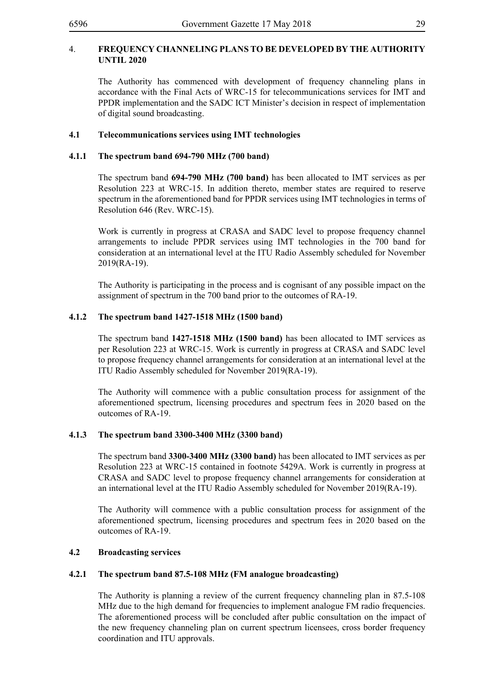#### 4. **FREQUENCY CHANNELING PLANS TO BE DEVELOPED BY THE AUTHORITY UNTIL 2020**

The Authority has commenced with development of frequency channeling plans in accordance with the Final Acts of WRC-15 for telecommunications services for IMT and PPDR implementation and the SADC ICT Minister's decision in respect of implementation of digital sound broadcasting.

#### **4.1 Telecommunications services using IMT technologies**

#### **4.1.1 The spectrum band 694-790 MHz (700 band)**

The spectrum band **694-790 MHz (700 band)** has been allocated to IMT services as per Resolution 223 at WRC-15. In addition thereto, member states are required to reserve spectrum in the aforementioned band for PPDR services using IMT technologies in terms of Resolution 646 (Rev. WRC-15).

Work is currently in progress at CRASA and SADC level to propose frequency channel arrangements to include PPDR services using IMT technologies in the 700 band for consideration at an international level at the ITU Radio Assembly scheduled for November 2019(RA-19).

The Authority is participating in the process and is cognisant of any possible impact on the assignment of spectrum in the 700 band prior to the outcomes of RA-19.

#### **4.1.2 The spectrum band 1427-1518 MHz (1500 band)**

The spectrum band **1427-1518 MHz (1500 band)** has been allocated to IMT services as per Resolution 223 at WRC-15. Work is currently in progress at CRASA and SADC level to propose frequency channel arrangements for consideration at an international level at the ITU Radio Assembly scheduled for November 2019(RA-19).

The Authority will commence with a public consultation process for assignment of the aforementioned spectrum, licensing procedures and spectrum fees in 2020 based on the outcomes of RA-19.

#### **4.1.3 The spectrum band 3300-3400 MHz (3300 band)**

The spectrum band **3300-3400 MHz (3300 band)** has been allocated to IMT services as per Resolution 223 at WRC-15 contained in footnote 5429A. Work is currently in progress at CRASA and SADC level to propose frequency channel arrangements for consideration at an international level at the ITU Radio Assembly scheduled for November 2019(RA-19).

The Authority will commence with a public consultation process for assignment of the aforementioned spectrum, licensing procedures and spectrum fees in 2020 based on the outcomes of RA-19.

#### **4.2 Broadcasting services**

#### **4.2.1 The spectrum band 87.5-108 MHz (FM analogue broadcasting)**

The Authority is planning a review of the current frequency channeling plan in 87.5-108 MHz due to the high demand for frequencies to implement analogue FM radio frequencies. The aforementioned process will be concluded after public consultation on the impact of the new frequency channeling plan on current spectrum licensees, cross border frequency coordination and ITU approvals.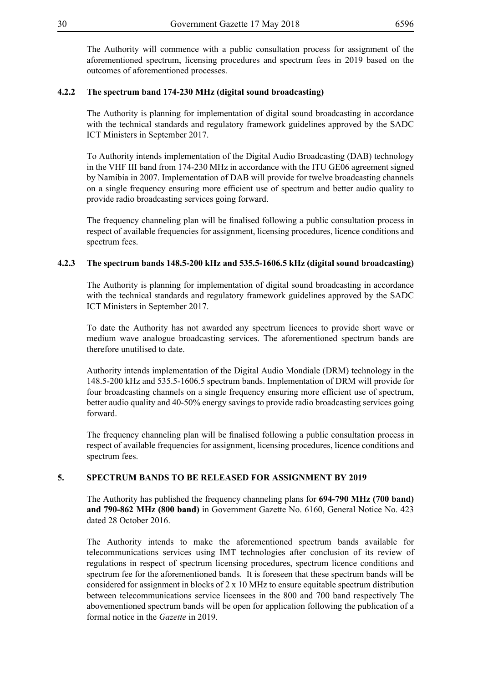The Authority will commence with a public consultation process for assignment of the aforementioned spectrum, licensing procedures and spectrum fees in 2019 based on the

#### **4.2.2 The spectrum band 174-230 MHz (digital sound broadcasting)**

outcomes of aforementioned processes.

The Authority is planning for implementation of digital sound broadcasting in accordance with the technical standards and regulatory framework guidelines approved by the SADC ICT Ministers in September 2017.

To Authority intends implementation of the Digital Audio Broadcasting (DAB) technology in the VHF III band from 174-230 MHz in accordance with the ITU GE06 agreement signed by Namibia in 2007. Implementation of DAB will provide for twelve broadcasting channels on a single frequency ensuring more efficient use of spectrum and better audio quality to provide radio broadcasting services going forward.

The frequency channeling plan will be finalised following a public consultation process in respect of available frequencies for assignment, licensing procedures, licence conditions and spectrum fees.

#### **4.2.3 The spectrum bands 148.5-200 kHz and 535.5-1606.5 kHz (digital sound broadcasting)**

The Authority is planning for implementation of digital sound broadcasting in accordance with the technical standards and regulatory framework guidelines approved by the SADC ICT Ministers in September 2017.

To date the Authority has not awarded any spectrum licences to provide short wave or medium wave analogue broadcasting services. The aforementioned spectrum bands are therefore unutilised to date.

Authority intends implementation of the Digital Audio Mondiale (DRM) technology in the 148.5-200 kHz and 535.5-1606.5 spectrum bands. Implementation of DRM will provide for four broadcasting channels on a single frequency ensuring more efficient use of spectrum, better audio quality and 40-50% energy savings to provide radio broadcasting services going forward.

The frequency channeling plan will be finalised following a public consultation process in respect of available frequencies for assignment, licensing procedures, licence conditions and spectrum fees.

#### **5. SPECTRUM BANDS TO BE RELEASED FOR ASSIGNMENT BY 2019**

The Authority has published the frequency channeling plans for **694-790 MHz (700 band) and 790-862 MHz (800 band)** in Government Gazette No. 6160, General Notice No. 423 dated 28 October 2016.

The Authority intends to make the aforementioned spectrum bands available for telecommunications services using IMT technologies after conclusion of its review of regulations in respect of spectrum licensing procedures, spectrum licence conditions and spectrum fee for the aforementioned bands. It is foreseen that these spectrum bands will be considered for assignment in blocks of  $2 \times 10$  MHz to ensure equitable spectrum distribution between telecommunications service licensees in the 800 and 700 band respectively The abovementioned spectrum bands will be open for application following the publication of a formal notice in the *Gazette* in 2019.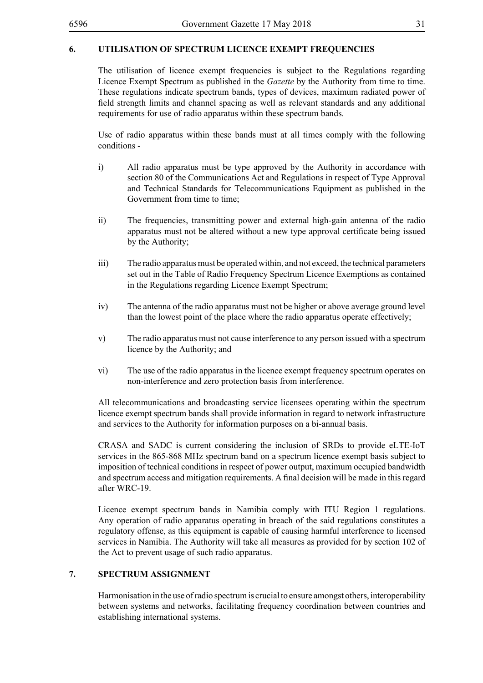#### **6. UTILISATION OF SPECTRUM LICENCE EXEMPT FREQUENCIES**

The utilisation of licence exempt frequencies is subject to the Regulations regarding Licence Exempt Spectrum as published in the *Gazette* by the Authority from time to time. These regulations indicate spectrum bands, types of devices, maximum radiated power of field strength limits and channel spacing as well as relevant standards and any additional requirements for use of radio apparatus within these spectrum bands.

Use of radio apparatus within these bands must at all times comply with the following conditions -

- i) All radio apparatus must be type approved by the Authority in accordance with section 80 of the Communications Act and Regulations in respect of Type Approval and Technical Standards for Telecommunications Equipment as published in the Government from time to time;
- ii) The frequencies, transmitting power and external high-gain antenna of the radio apparatus must not be altered without a new type approval certificate being issued by the Authority;
- iii) The radio apparatus must be operated within, and not exceed, the technical parameters set out in the Table of Radio Frequency Spectrum Licence Exemptions as contained in the Regulations regarding Licence Exempt Spectrum;
- iv) The antenna of the radio apparatus must not be higher or above average ground level than the lowest point of the place where the radio apparatus operate effectively;
- v) The radio apparatus must not cause interference to any person issued with a spectrum licence by the Authority; and
- vi) The use of the radio apparatus in the licence exempt frequency spectrum operates on non-interference and zero protection basis from interference.

All telecommunications and broadcasting service licensees operating within the spectrum licence exempt spectrum bands shall provide information in regard to network infrastructure and services to the Authority for information purposes on a bi-annual basis.

CRASA and SADC is current considering the inclusion of SRDs to provide eLTE-IoT services in the 865-868 MHz spectrum band on a spectrum licence exempt basis subject to imposition of technical conditions in respect of power output, maximum occupied bandwidth and spectrum access and mitigation requirements. A final decision will be made in this regard after WRC-19.

Licence exempt spectrum bands in Namibia comply with ITU Region 1 regulations. Any operation of radio apparatus operating in breach of the said regulations constitutes a regulatory offense, as this equipment is capable of causing harmful interference to licensed services in Namibia. The Authority will take all measures as provided for by section 102 of the Act to prevent usage of such radio apparatus.

#### **7. SPECTRUM ASSIGNMENT**

Harmonisation in the use of radio spectrum is crucial to ensure amongst others, interoperability between systems and networks, facilitating frequency coordination between countries and establishing international systems.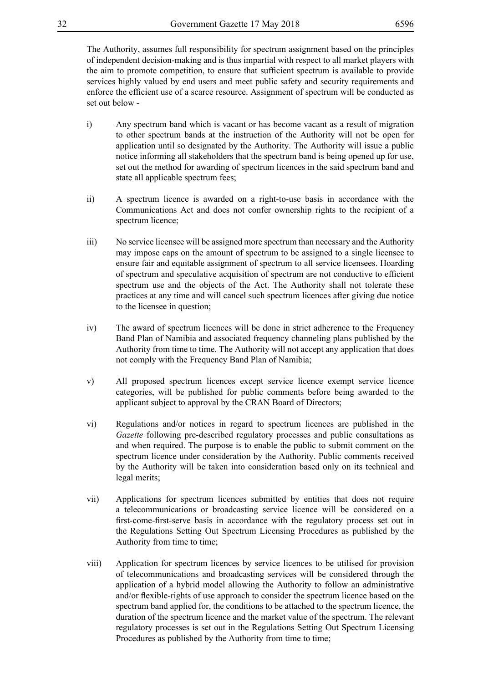The Authority, assumes full responsibility for spectrum assignment based on the principles of independent decision-making and is thus impartial with respect to all market players with the aim to promote competition, to ensure that sufficient spectrum is available to provide services highly valued by end users and meet public safety and security requirements and enforce the efficient use of a scarce resource. Assignment of spectrum will be conducted as set out below -

- i) Any spectrum band which is vacant or has become vacant as a result of migration to other spectrum bands at the instruction of the Authority will not be open for application until so designated by the Authority. The Authority will issue a public notice informing all stakeholders that the spectrum band is being opened up for use, set out the method for awarding of spectrum licences in the said spectrum band and state all applicable spectrum fees;
- ii) A spectrum licence is awarded on a right-to-use basis in accordance with the Communications Act and does not confer ownership rights to the recipient of a spectrum licence;
- iii) No service licensee will be assigned more spectrum than necessary and the Authority may impose caps on the amount of spectrum to be assigned to a single licensee to ensure fair and equitable assignment of spectrum to all service licensees. Hoarding of spectrum and speculative acquisition of spectrum are not conductive to efficient spectrum use and the objects of the Act. The Authority shall not tolerate these practices at any time and will cancel such spectrum licences after giving due notice to the licensee in question;
- iv) The award of spectrum licences will be done in strict adherence to the Frequency Band Plan of Namibia and associated frequency channeling plans published by the Authority from time to time. The Authority will not accept any application that does not comply with the Frequency Band Plan of Namibia;
- v) All proposed spectrum licences except service licence exempt service licence categories, will be published for public comments before being awarded to the applicant subject to approval by the CRAN Board of Directors;
- vi) Regulations and/or notices in regard to spectrum licences are published in the *Gazette* following pre-described regulatory processes and public consultations as and when required. The purpose is to enable the public to submit comment on the spectrum licence under consideration by the Authority. Public comments received by the Authority will be taken into consideration based only on its technical and legal merits;
- vii) Applications for spectrum licences submitted by entities that does not require a telecommunications or broadcasting service licence will be considered on a first-come-first-serve basis in accordance with the regulatory process set out in the Regulations Setting Out Spectrum Licensing Procedures as published by the Authority from time to time;
- viii) Application for spectrum licences by service licences to be utilised for provision of telecommunications and broadcasting services will be considered through the application of a hybrid model allowing the Authority to follow an administrative and/or flexible-rights of use approach to consider the spectrum licence based on the spectrum band applied for, the conditions to be attached to the spectrum licence, the duration of the spectrum licence and the market value of the spectrum. The relevant regulatory processes is set out in the Regulations Setting Out Spectrum Licensing Procedures as published by the Authority from time to time;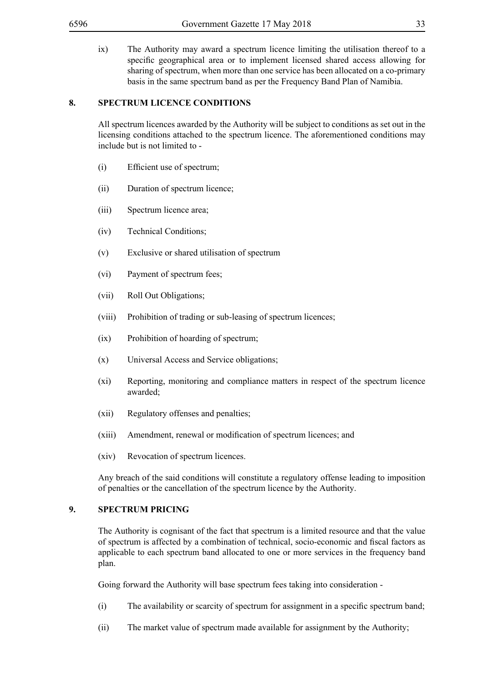ix) The Authority may award a spectrum licence limiting the utilisation thereof to a specific geographical area or to implement licensed shared access allowing for sharing of spectrum, when more than one service has been allocated on a co-primary basis in the same spectrum band as per the Frequency Band Plan of Namibia.

#### **8. SPECTRUM LICENCE CONDITIONS**

All spectrum licences awarded by the Authority will be subject to conditions as set out in the licensing conditions attached to the spectrum licence. The aforementioned conditions may include but is not limited to -

- (i) Efficient use of spectrum;
- (ii) Duration of spectrum licence;
- (iii) Spectrum licence area;
- (iv) Technical Conditions;
- (v) Exclusive or shared utilisation of spectrum
- (vi) Payment of spectrum fees;
- (vii) Roll Out Obligations;
- (viii) Prohibition of trading or sub-leasing of spectrum licences;
- (ix) Prohibition of hoarding of spectrum;
- (x) Universal Access and Service obligations;
- (xi) Reporting, monitoring and compliance matters in respect of the spectrum licence awarded;
- (xii) Regulatory offenses and penalties;
- (xiii) Amendment, renewal or modification of spectrum licences; and
- (xiv) Revocation of spectrum licences.

Any breach of the said conditions will constitute a regulatory offense leading to imposition of penalties or the cancellation of the spectrum licence by the Authority.

#### **9. SPECTRUM PRICING**

The Authority is cognisant of the fact that spectrum is a limited resource and that the value of spectrum is affected by a combination of technical, socio-economic and fiscal factors as applicable to each spectrum band allocated to one or more services in the frequency band plan.

Going forward the Authority will base spectrum fees taking into consideration -

- (i) The availability or scarcity of spectrum for assignment in a specific spectrum band;
- (ii) The market value of spectrum made available for assignment by the Authority;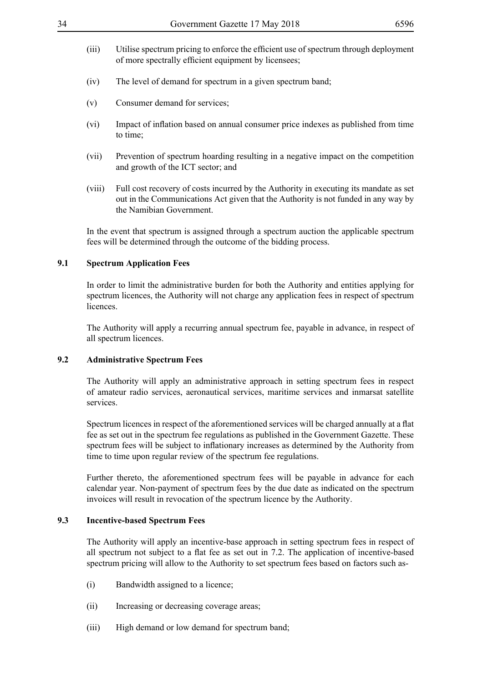- 
- (iii) Utilise spectrum pricing to enforce the efficient use of spectrum through deployment of more spectrally efficient equipment by licensees;
- (iv) The level of demand for spectrum in a given spectrum band;
- (v) Consumer demand for services;
- (vi) Impact of inflation based on annual consumer price indexes as published from time to time;
- (vii) Prevention of spectrum hoarding resulting in a negative impact on the competition and growth of the ICT sector; and
- (viii) Full cost recovery of costs incurred by the Authority in executing its mandate as set out in the Communications Act given that the Authority is not funded in any way by the Namibian Government.

In the event that spectrum is assigned through a spectrum auction the applicable spectrum fees will be determined through the outcome of the bidding process.

#### **9.1 Spectrum Application Fees**

In order to limit the administrative burden for both the Authority and entities applying for spectrum licences, the Authority will not charge any application fees in respect of spectrum **licences** 

The Authority will apply a recurring annual spectrum fee, payable in advance, in respect of all spectrum licences.

#### **9.2 Administrative Spectrum Fees**

The Authority will apply an administrative approach in setting spectrum fees in respect of amateur radio services, aeronautical services, maritime services and inmarsat satellite services.

Spectrum licences in respect of the aforementioned services will be charged annually at a flat fee as set out in the spectrum fee regulations as published in the Government Gazette. These spectrum fees will be subject to inflationary increases as determined by the Authority from time to time upon regular review of the spectrum fee regulations.

Further thereto, the aforementioned spectrum fees will be payable in advance for each calendar year. Non-payment of spectrum fees by the due date as indicated on the spectrum invoices will result in revocation of the spectrum licence by the Authority.

#### **9.3 Incentive-based Spectrum Fees**

The Authority will apply an incentive-base approach in setting spectrum fees in respect of all spectrum not subject to a flat fee as set out in 7.2. The application of incentive-based spectrum pricing will allow to the Authority to set spectrum fees based on factors such as-

- (i) Bandwidth assigned to a licence;
- (ii) Increasing or decreasing coverage areas;
- (iii) High demand or low demand for spectrum band;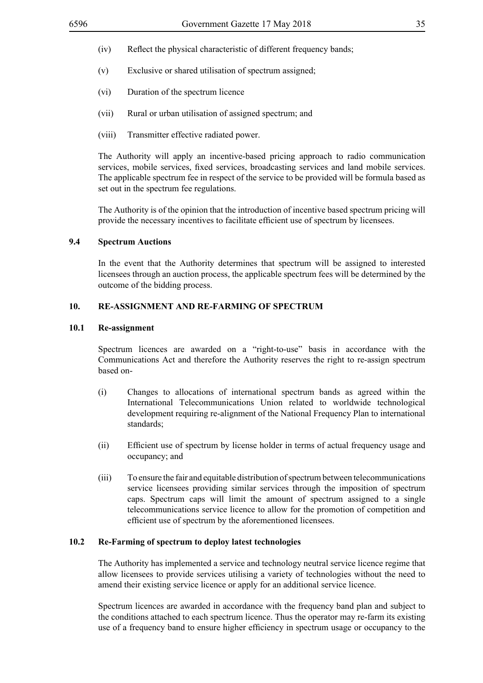- (iv) Reflect the physical characteristic of different frequency bands;
- (v) Exclusive or shared utilisation of spectrum assigned;
- (vi) Duration of the spectrum licence
- (vii) Rural or urban utilisation of assigned spectrum; and
- (viii) Transmitter effective radiated power.

The Authority will apply an incentive-based pricing approach to radio communication services, mobile services, fixed services, broadcasting services and land mobile services. The applicable spectrum fee in respect of the service to be provided will be formula based as set out in the spectrum fee regulations.

The Authority is of the opinion that the introduction of incentive based spectrum pricing will provide the necessary incentives to facilitate efficient use of spectrum by licensees.

#### **9.4 Spectrum Auctions**

In the event that the Authority determines that spectrum will be assigned to interested licensees through an auction process, the applicable spectrum fees will be determined by the outcome of the bidding process.

#### **10. RE-ASSIGNMENT AND RE-FARMING OF SPECTRUM**

#### **10.1 Re-assignment**

Spectrum licences are awarded on a "right-to-use" basis in accordance with the Communications Act and therefore the Authority reserves the right to re-assign spectrum based on-

- (i) Changes to allocations of international spectrum bands as agreed within the International Telecommunications Union related to worldwide technological development requiring re-alignment of the National Frequency Plan to international standards;
- (ii) Efficient use of spectrum by license holder in terms of actual frequency usage and occupancy; and
- (iii) To ensure the fair and equitable distribution of spectrum between telecommunications service licensees providing similar services through the imposition of spectrum caps. Spectrum caps will limit the amount of spectrum assigned to a single telecommunications service licence to allow for the promotion of competition and efficient use of spectrum by the aforementioned licensees.

#### **10.2 Re-Farming of spectrum to deploy latest technologies**

The Authority has implemented a service and technology neutral service licence regime that allow licensees to provide services utilising a variety of technologies without the need to amend their existing service licence or apply for an additional service licence.

Spectrum licences are awarded in accordance with the frequency band plan and subject to the conditions attached to each spectrum licence. Thus the operator may re-farm its existing use of a frequency band to ensure higher efficiency in spectrum usage or occupancy to the